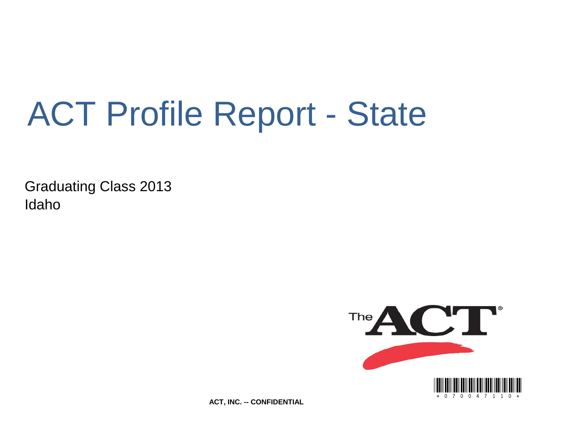# ACT Profile Report - State

Graduating Class 2013 **Idaho** 



**ACT, INC. -- CONFIDENTIAL**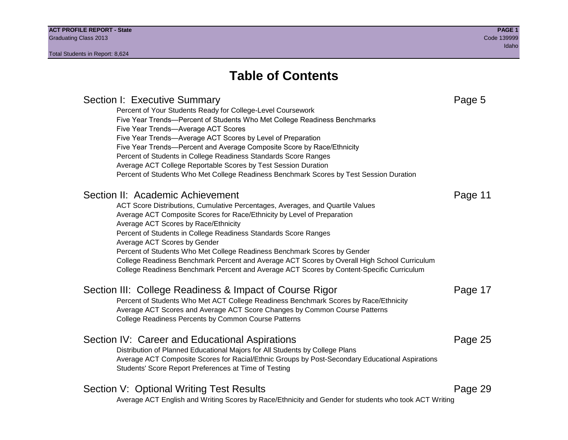# **Table of Contents**

# Section I: Executive Summary **Page 5** and the section I: Executive Summary Percent of Your Students Ready for College-Level Coursework Five Year Trends—Percent of Students Who Met College Readiness Benchmarks Five Year Trends—Average ACT Scores Five Year Trends—Average ACT Scores by Level of Preparation Five Year Trends—Percent and Average Composite Score by Race/Ethnicity Percent of Students in College Readiness Standards Score Ranges Average ACT College Reportable Scores by Test Session Duration Percent of Students Who Met College Readiness Benchmark Scores by Test Session Duration Section II: Academic Achievement **Page 11** Page 11 ACT Score Distributions, Cumulative Percentages, Averages, and Quartile Values Average ACT Composite Scores for Race/Ethnicity by Level of Preparation Average ACT Scores by Race/Ethnicity Percent of Students in College Readiness Standards Score Ranges Average ACT Scores by Gender Percent of Students Who Met College Readiness Benchmark Scores by Gender College Readiness Benchmark Percent and Average ACT Scores by Overall High School Curriculum College Readiness Benchmark Percent and Average ACT Scores by Content-Specific Curriculum Section III: College Readiness & Impact of Course Rigor Page 17 Percent of Students Who Met ACT College Readiness Benchmark Scores by Race/Ethnicity Average ACT Scores and Average ACT Score Changes by Common Course Patterns College Readiness Percents by Common Course Patterns Section IV: Career and Educational Aspirations **Page 25** Page 25 Distribution of Planned Educational Majors for All Students by College Plans Average ACT Composite Scores for Racial/Ethnic Groups by Post-Secondary Educational Aspirations Students' Score Report Preferences at Time of Testing Section V: Optional Writing Test Results **Page 29** Page 29 Average ACT English and Writing Scores by Race/Ethnicity and Gender for students who took ACT Writing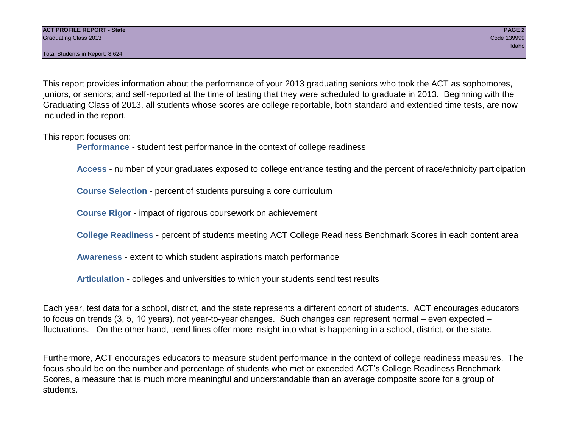Total Students in Report: 8,624

This report provides information about the performance of your 2013 graduating seniors who took the ACT as sophomores, juniors, or seniors; and self-reported at the time of testing that they were scheduled to graduate in 2013. Beginning with the Graduating Class of 2013, all students whose scores are college reportable, both standard and extended time tests, are now included in the report.

This report focuses on:

**Performance** - student test performance in the context of college readiness

**Access** - number of your graduates exposed to college entrance testing and the percent of race/ethnicity participation

**Course Selection** - percent of students pursuing a core curriculum

**Course Rigor** - impact of rigorous coursework on achievement

**College Readiness** - percent of students meeting ACT College Readiness Benchmark Scores in each content area

**Awareness** - extent to which student aspirations match performance

**Articulation** - colleges and universities to which your students send test results

Each year, test data for a school, district, and the state represents a different cohort of students. ACT encourages educators to focus on trends (3, 5, 10 years), not year-to-year changes. Such changes can represent normal – even expected – fluctuations. On the other hand, trend lines offer more insight into what is happening in a school, district, or the state.

Furthermore, ACT encourages educators to measure student performance in the context of college readiness measures. The focus should be on the number and percentage of students who met or exceeded ACT's College Readiness Benchmark Scores, a measure that is much more meaningful and understandable than an average composite score for a group of students.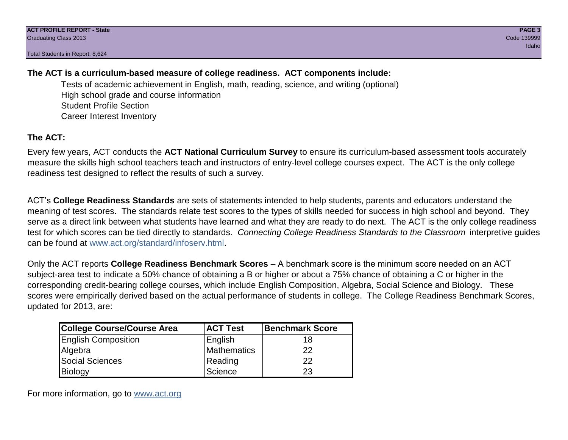Total Students in Report: 8,624

# **The ACT is a curriculum-based measure of college readiness. ACT components include:**

Tests of academic achievement in English, math, reading, science, and writing (optional) High school grade and course information Student Profile Section Career Interest Inventory

# **The ACT:**

Every few years, ACT conducts the **ACT National Curriculum Survey** to ensure its curriculum-based assessment tools accurately measure the skills high school teachers teach and instructors of entry-level college courses expect. The ACT is the only college readiness test designed to reflect the results of such a survey.

ACT's **College Readiness Standards** are sets of statements intended to help students, parents and educators understand the meaning of test scores. The standards relate test scores to the types of skills needed for success in high school and beyond. They serve as a direct link between what students have learned and what they are ready to do next. The ACT is the only college readiness test for which scores can be tied directly to standards. *Connecting College Readiness Standards to the Classroom* interpretive guides can be found at www.act.org/standard/infoserv.html.

Only the ACT reports **College Readiness Benchmark Scores** – A benchmark score is the minimum score needed on an ACT subject-area test to indicate a 50% chance of obtaining a B or higher or about a 75% chance of obtaining a C or higher in the corresponding credit-bearing college courses, which include English Composition, Algebra, Social Science and Biology. These scores were empirically derived based on the actual performance of students in college. The College Readiness Benchmark Scores, updated for 2013, are:

| <b>College Course/Course Area</b> | <b>ACT Test</b> | <b>Benchmark Score</b> |
|-----------------------------------|-----------------|------------------------|
| <b>English Composition</b>        | English         | 18                     |
| Algebra                           | Mathematics     | 22                     |
| <b>Social Sciences</b>            | Reading         | 22                     |
| Biology                           | Science         | 23                     |

For more information, go to www.act.org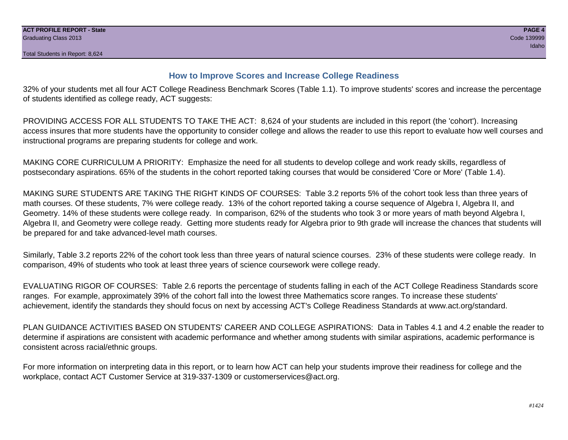# **How to Improve Scores and Increase College Readiness**

32% of your students met all four ACT College Readiness Benchmark Scores (Table 1.1). To improve students' scores and increase the percentage of students identified as college ready, ACT suggests:

PROVIDING ACCESS FOR ALL STUDENTS TO TAKE THE ACT: 8,624 of your students are included in this report (the 'cohort'). Increasing access insures that more students have the opportunity to consider college and allows the reader to use this report to evaluate how well courses and instructional programs are preparing students for college and work.

MAKING CORE CURRICULUM A PRIORITY: Emphasize the need for all students to develop college and work ready skills, regardless of postsecondary aspirations. 65% of the students in the cohort reported taking courses that would be considered 'Core or More' (Table 1.4).

MAKING SURE STUDENTS ARE TAKING THE RIGHT KINDS OF COURSES: Table 3.2 reports 5% of the cohort took less than three years of math courses. Of these students, 7% were college ready. 13% of the cohort reported taking a course sequence of Algebra I, Algebra II, and Geometry. 14% of these students were college ready. In comparison, 62% of the students who took 3 or more years of math beyond Algebra I, Algebra II, and Geometry were college ready. Getting more students ready for Algebra prior to 9th grade will increase the chances that students will be prepared for and take advanced-level math courses.

Similarly, Table 3.2 reports 22% of the cohort took less than three years of natural science courses. 23% of these students were college ready. In comparison, 49% of students who took at least three years of science coursework were college ready.

EVALUATING RIGOR OF COURSES: Table 2.6 reports the percentage of students falling in each of the ACT College Readiness Standards score ranges. For example, approximately 39% of the cohort fall into the lowest three Mathematics score ranges. To increase these students' achievement, identify the standards they should focus on next by accessing ACT's College Readiness Standards at www.act.org/standard.

PLAN GUIDANCE ACTIVITIES BASED ON STUDENTS' CAREER AND COLLEGE ASPIRATIONS: Data in Tables 4.1 and 4.2 enable the reader to determine if aspirations are consistent with academic performance and whether among students with similar aspirations, academic performance is consistent across racial/ethnic groups.

For more information on interpreting data in this report, or to learn how ACT can help your students improve their readiness for college and the workplace, contact ACT Customer Service at 319-337-1309 or customerservices@act.org.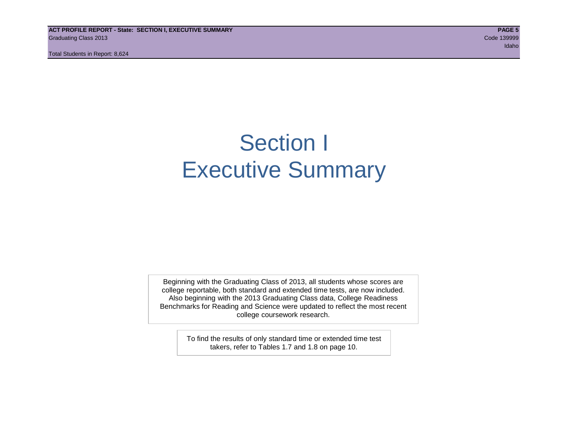**ACT PROFILE REPORT - State: SECTION I, EXECUTIVE SUMMARY PAGE 5** Graduating Class 2013 Code 139999

Total Students in Report: 8,624

idaho kan kalendar dan mengenai kemudian dan mengenai kemudian pengerangan dan mengenai kemudian dan mengenai

# Section I Executive Summary

Beginning with the Graduating Class of 2013, all students whose scores are college reportable, both standard and extended time tests, are now included. Also beginning with the 2013 Graduating Class data, College Readiness Benchmarks for Reading and Science were updated to reflect the most recent college coursework research.

> To find the results of only standard time or extended time test takers, refer to Tables 1.7 and 1.8 on page 10.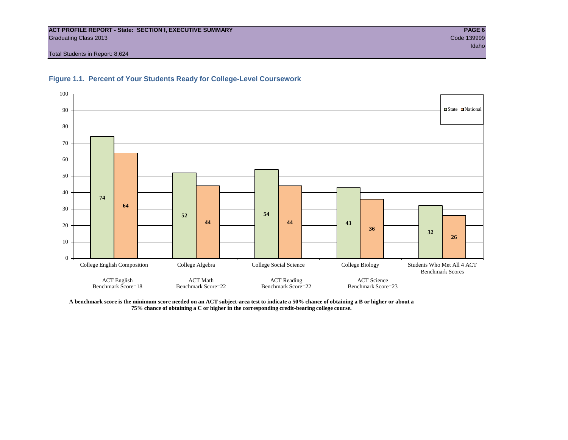#### **ACT PROFILE REPORT - State: SECTION I, EXECUTIVE SUMMARY PAGE 6** Graduating Class 2013 Code 139999

Total Students in Report: 8,624





**A benchmark score is the minimum score needed on an ACT subject-area test to indicate a 50% chance of obtaining a B or higher or about a 75% chance of obtaining a C or higher in the corresponding credit-bearing college course.**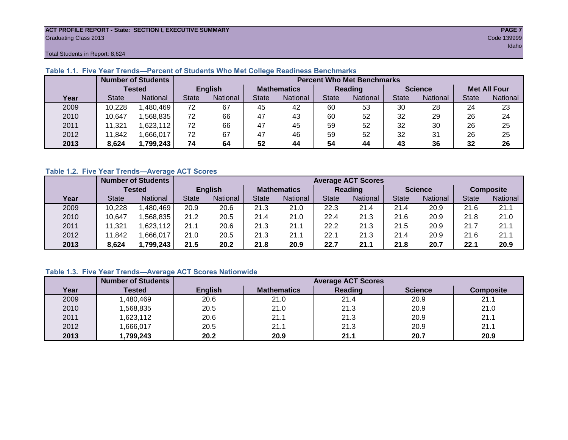#### **ACT PROFILE REPORT - State: SECTION I, EXECUTIVE SUMMARY PAGE 7** Graduating Class 2013 Code 139999

Total Students in Report: 8,624

|      |              | <b>Number of Students</b> |                | <b>Percent Who Met Benchmarks</b> |                    |          |              |          |                |          |                     |          |  |  |
|------|--------------|---------------------------|----------------|-----------------------------------|--------------------|----------|--------------|----------|----------------|----------|---------------------|----------|--|--|
|      |              | Tested                    | <b>English</b> |                                   | <b>Mathematics</b> |          | Reading      |          | <b>Science</b> |          | <b>Met All Four</b> |          |  |  |
| Year | <b>State</b> | <b>National</b>           | <b>State</b>   | National                          |                    | National | <b>State</b> | National | <b>State</b>   | National | <b>State</b>        | National |  |  |
| 2009 | 10,228       | 1,480,469                 | 72             | 67                                | 45                 | 42       | 60           | 53       | 30             | 28       | 24                  | 23       |  |  |
| 2010 | 10,647       | ,568,835                  | 72             | 66                                | 47                 | 43       | 60           | 52       | 32             | 29       | 26                  | 24       |  |  |
| 2011 | 11,321       | 1,623,112                 | 72             | 66                                | 47                 | 45       | 59           | 52       | 32             | 30       | 26                  | 25       |  |  |
| 2012 | 11,842       | 1,666,017                 | 72             | 67                                | 47                 | 46       | 59           | 52       | 32             | 31       | 26                  | 25       |  |  |
| 2013 | 8,624        | 1,799,243                 | 74             | 64                                | 52                 | 44       | 54           | 44       | 43             | 36       | 32                  | 26       |  |  |

# **Table 1.1. Five Year Trends—Percent of Students Who Met College Readiness Benchmarks**

# **Table 1.2. Five Year Trends—Average ACT Scores**

|      |              | <b>Number of Students</b> |              |                 |                    | <b>Average ACT Scores</b> |                |          |                |          |                  |          |  |  |
|------|--------------|---------------------------|--------------|-----------------|--------------------|---------------------------|----------------|----------|----------------|----------|------------------|----------|--|--|
|      |              | <b>Tested</b>             |              | <b>English</b>  | <b>Mathematics</b> |                           | <b>Reading</b> |          | <b>Science</b> |          | <b>Composite</b> |          |  |  |
| Year | <b>State</b> | <b>National</b>           | <b>State</b> | <b>National</b> |                    | National                  | <b>State</b>   | National | <b>State</b>   | National | <b>State</b>     | National |  |  |
| 2009 | 10,228       | .480.469                  | 20.9         | 20.6            | 21.3               | 21.0                      | 22.3           | 21.4     | 21.4           | 20.9     | 21.6             | 21.1     |  |  |
| 2010 | 10,647       | .568.835                  | 21.2         | 20.5            | 21.4               | 21.0                      | 22.4           | 21.3     | 21.6           | 20.9     | 21.8             | 21.0     |  |  |
| 2011 | .321         | .623,112                  | 21.1         | 20.6            | 21.3               | 21.1                      | 22.2           | 21.3     | 21.5           | 20.9     | 21.7             | 21.1     |  |  |
| 2012 | .842         | .666,017                  | 21.0         | 20.5            | 21.3               | 21.1                      | 22.7           | 21.3     | 21.4           | 20.9     | 21.6             | 21.1     |  |  |
| 2013 | 8,624        | 1,799,243                 | 21.5         | 20.2            | 21.8               | 20.9                      | 22.7           | 21.1     | 21.8           | 20.7     | 22.1             | 20.9     |  |  |

# **Table 1.3. Five Year Trends—Average ACT Scores Nationwide**

|      | <b>Number of Students</b> |                | <b>Average ACT Scores</b> |         |                |                  |  |  |  |  |  |  |
|------|---------------------------|----------------|---------------------------|---------|----------------|------------------|--|--|--|--|--|--|
| Year | Tested                    | <b>English</b> | <b>Mathematics</b>        | Reading | <b>Science</b> | <b>Composite</b> |  |  |  |  |  |  |
| 2009 | ,480,469                  | 20.6           | 21.0                      | 21.4    | 20.9           | 21.1             |  |  |  |  |  |  |
| 2010 | ,568,835                  | 20.5           | 21.0                      | 21.3    | 20.9           | 21.0             |  |  |  |  |  |  |
| 2011 | ,623,112                  | 20.6           | 21.1                      | 21.3    | 20.9           | 21.1             |  |  |  |  |  |  |
| 2012 | ,666,017                  | 20.5           | 21.1                      | 21.3    | 20.9           | 21.1             |  |  |  |  |  |  |
| 2013 | ,799,243                  | 20.2           | 20.9                      | 21.1    | 20.7           | 20.9             |  |  |  |  |  |  |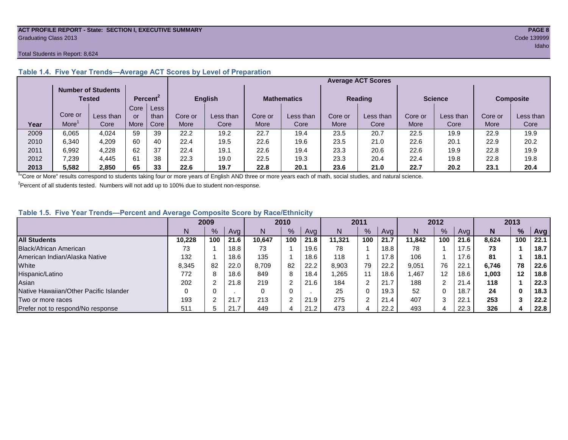#### **ACT PROFILE REPORT - State: SECTION I, EXECUTIVE SUMMARY PAGE 8** Graduating Class 2013 Code 139999

#### Total Students in Report: 8,624

|      |         | <b>Number of Students</b><br>Tested |             | Percent <sup>2</sup> |         | <b>English</b> | <b>Mathematics</b> |           | <b>Reading</b> |           | <b>Science</b> |           | <b>Composite</b> |           |
|------|---------|-------------------------------------|-------------|----------------------|---------|----------------|--------------------|-----------|----------------|-----------|----------------|-----------|------------------|-----------|
|      |         |                                     | Core        | Less                 |         |                |                    |           |                |           |                |           |                  |           |
|      | Core or | Less than                           | or          | than                 | Core or | Less than      | Core or            | Less than | Core or        | Less than | Core or        | Less than | Core or          | Less than |
| Year | More    | Core                                | <b>More</b> | Core                 | More    | Core           | More               | Core      | More           | Core      | More           | Core      | More             | Core      |
| 2009 | 6,065   | 4.024                               | 59          | 39                   | 22.2    | 19.2           | 22.7               | 19.4      | 23.5           | 20.7      | 22.5           | 19.9      | 22.9             | 19.9      |
| 2010 | 6,340   | 4.209                               | 60          | 40                   | 22.4    | 19.5           | 22.6               | 19.6      | 23.5           | 21.0      | 22.6           | 20.1      | 22.9             | 20.2      |
| 2011 | 6.992   | 4,228                               | 62          | 37                   | 22.4    | 19.1           | 22.6               | 19.4      | 23.3           | 20.6      | 22.6           | 19.9      | 22.8             | 19.9      |
| 2012 | .239    | 4.445                               | 61          | 38                   | 22.3    | 19.0           | 22.5               | 19.3      | 23.3           | 20.4      | 22.4           | 19.8      | 22.8             | 19.8      |
| 2013 | 5,582   | 2,850                               | 65          | 33                   | 22.6    | 19.7           | 22.8               | 20.1      | 23.6           | 21.0      | 22.7           | 20.2      | 23.1             | 20.4      |

# **Table 1.4. Five Year Trends—Average ACT Scores by Level of Preparation**

<sup>1</sup>"Core or More" results correspond to students taking four or more years of English AND three or more years each of math, social studies, and natural science.

 $2$ Percent of all students tested. Numbers will not add up to 100% due to student non-response.

# **Table 1.5. Five Year Trends—Percent and Average Composite Score by Race/Ethnicity**

|                                        | 2009   |     | 2010 |        | 2011          |      | 2012   |      |      | 2013   |                   |      |       |     |      |
|----------------------------------------|--------|-----|------|--------|---------------|------|--------|------|------|--------|-------------------|------|-------|-----|------|
|                                        | N      | %   | Avg  | N      | $\frac{9}{6}$ | Avg  | N      | $\%$ | Avg  | Ν      | %                 | Ava  | N     | %   | Avg  |
| <b>All Students</b>                    | 10.228 | 100 | 21.6 | 10.647 | 100           | 21.8 | 11.321 | 100  | 21.7 | 11.842 | 100               | 21.6 | 8.624 | 100 | 22.1 |
| Black/African American                 | 73     |     | 18.8 | 73     |               | 19.6 | 78     |      | 18.8 | 78     |                   | 17.5 | 73    |     | 18.7 |
| American Indian/Alaska Native          | 132    |     | 18.6 | 135    |               | 18.6 | 118    |      | 17.8 | 106    |                   | 17.6 | 81    |     | 18.1 |
| White                                  | 8,345  | 82  | 22.0 | 8,709  | 82            | 22.2 | 8.903  | 79   | 22.2 | 9,051  | 76                | 22.7 | 6.746 | 78  | 22.6 |
| Hispanic/Latino                        | 772    |     | 18.6 | 849    | 8             | 18.4 | .265   |      | 18.6 | 1,467  | $12 \overline{ }$ | 18.6 | 1,003 | 12  | 18.8 |
| Asian                                  | 202    |     | 21.8 | 219    | ⌒             | 21.6 | 184    | 2    | 21.7 | 188    | 2                 | 21.4 | 118   |     | 22.3 |
| Native Hawaiian/Other Pacific Islander |        |     |      |        | 0             |      | 25     | 0    | 19.3 | 52     | 0                 | 18.7 | 24    | 0   | 18.3 |
| Two or more races                      | 193    |     | 21.7 | 213    | $\sim$        | 21.9 | 275    | ົ    | 21.4 | 407    | ◠                 | 22.7 | 253   |     | 22.2 |
| Prefer not to respond/No response      | 511    |     | 21.7 | 449    | 4             | 21.2 | 473    |      | 22.2 | 493    | 4                 | 22.3 | 326   |     | 22.8 |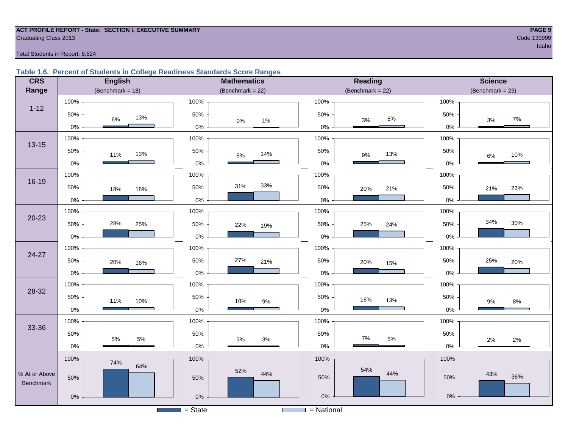# **ACT PROFILE REPORT - State: SECTION I, EXECUTIVE SUMMARY PAGE 9 Graduating Class 2013** Code 139999

# Total Students in Report: 8,624

# **Table 1.6. Percent of Students in College Readiness Standards Score Ranges**

| <b>CRS</b>    | <b>English</b>          | <b>Mathematics</b>               | Reading                 | <b>Science</b>      |
|---------------|-------------------------|----------------------------------|-------------------------|---------------------|
| Range         | (Benchmark = $18$ )     | (Benchmark = $22$ )              | (Benchmark = $22$ )     | $(Benchmark = 23)$  |
|               | 100%                    | 100%                             | 100%                    | 100%                |
| $1 - 12$      | 50%<br>13%<br>6%        | 50%<br>$0\%$<br>$1\%$            | 50%<br>$8\%$<br>3%      | 50%<br>$7\%$<br>3%  |
|               | $0\%$                   | $0\%$                            | $0\%$                   | $0\%$               |
| $13 - 15$     | 100%                    | 100%                             | 100%                    | 100%                |
|               | 50%<br>13%<br>11%       | 50%<br>14%<br>$8\%$              | 50%<br>13%<br>$9\%$     | 50%<br>10%<br>$6\%$ |
|               | $0\%$                   | $0\%$                            | $0\%$                   | $0\%$               |
|               | 100%                    | 100%                             | 100%                    | 100%                |
| $16 - 19$     | 50%<br>18%<br>18%       | 33%<br>31%<br>50%                | 50%<br>21%<br>20%       | 50%<br>23%<br>21%   |
|               | $0\%$                   | $0\%$                            | $0\%$                   | 0%                  |
|               | 100%                    | 100%                             | 100%                    | 100%                |
| $20 - 23$     | 28%<br>50%<br>25%       | 50%<br>22%<br>19%                | 50%<br>25%<br>24%       | 34%<br>30%<br>50%   |
|               | $0\%$                   | $0\%$                            | $0\%$                   | 0%                  |
| 24-27         | 100%                    | 100%                             | 100%                    | 100%                |
|               | 50%<br>20%<br>16%       | 50%<br>27%<br>21%                | 50%<br>20%<br>15%       | 50%<br>25%<br>20%   |
|               | $0\%$                   | $0\%$                            | 0%                      | 0%                  |
| 28-32         | 100%                    | 100%                             | 100%                    | 100%                |
|               | 50%<br>11%<br>10%       | 50%<br>10%<br>$9\%$              | 50%<br>16%<br>13%       | 50%<br>9%<br>$8\%$  |
|               | $0\%$                   | $0\%$                            | $0\%$                   | 0%                  |
|               | 100%                    | 100%                             | 100%                    | 100%                |
| 33-36         | 50%                     | 50%                              | 50%                     | 50%                 |
|               | $5\%$<br>$5\%$<br>$0\%$ | $3\%$<br>$3%$<br>$0\%$           | $7\%$<br>$5\%$<br>$0\%$ | 2%<br>2%<br>$0\%$   |
|               | 100%<br>74%             | 100%                             | 100%                    | 100%                |
| % At or Above | 64%                     | 52%<br>44%                       | 54%<br>44%              | 43%                 |
| Benchmark     | 50%                     | 50%                              | 50%                     | 36%<br>50%          |
|               | $0\%$                   | $0\%$                            | $0\%$                   | $0\%$               |
|               |                         | $=$ State<br><b>The Contract</b> | $=$ National            |                     |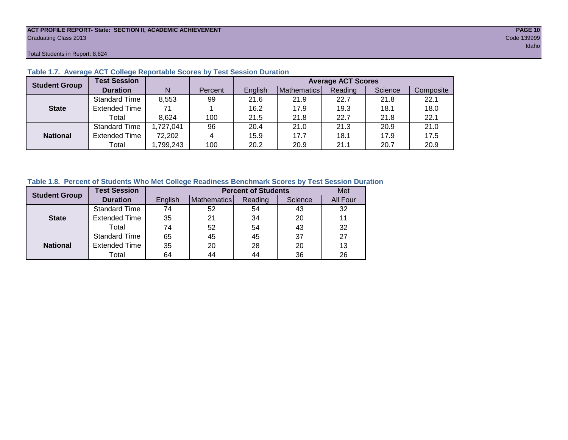#### **ACT PROFILE REPORT- State: SECTION II, ACADEMIC ACHIEVEMENT PAGE 10** Graduating Class 2013 Code 139999

Total Students in Report: 8,624

| <b>Student Group</b> | <b>Test Session</b>  |           |         | <b>Average ACT Scores</b> |             |         |         |           |  |  |  |  |  |
|----------------------|----------------------|-----------|---------|---------------------------|-------------|---------|---------|-----------|--|--|--|--|--|
|                      | <b>Duration</b>      | N         | Percent | English                   | Mathematics | Reading | Science | Composite |  |  |  |  |  |
|                      | <b>Standard Time</b> | 8,553     | 99      | 21.6                      | 21.9        | 22.7    | 21.8    | 22.1      |  |  |  |  |  |
| <b>State</b>         | <b>Extended Time</b> | 71        |         | 16.2                      | 17.9        | 19.3    | 18.1    | 18.0      |  |  |  |  |  |
|                      | Total                | 8.624     | 100     | 21.5                      | 21.8        | 22.7    | 21.8    | 22.1      |  |  |  |  |  |
|                      | <b>Standard Time</b> | 1,727,041 | 96      | 20.4                      | 21.0        | 21.3    | 20.9    | 21.0      |  |  |  |  |  |
| <b>National</b>      | <b>Extended Time</b> | 72,202    | 4       | 15.9                      | 17.7        | 18.1    | 17.9    | 17.5      |  |  |  |  |  |
|                      | Total                | ,799,243  | 100     | 20.2                      | 20.9        | 21.1    | 20.7    | 20.9      |  |  |  |  |  |

# **Table 1.7. Average ACT College Reportable Scores by Test Session Duration**

# **Table 1.8. Percent of Students Who Met College Readiness Benchmark Scores by Test Session Duration**

| <b>Student Group</b> | <b>Test Session</b>  |         |             | <b>Percent of Students</b> |         | Met      |
|----------------------|----------------------|---------|-------------|----------------------------|---------|----------|
|                      | <b>Duration</b>      | English | Mathematics | Reading                    | Science | All Four |
|                      | Standard Time        | 74      | 52          | 54                         | 43      | 32       |
| <b>State</b>         | <b>Extended Time</b> | 35      | 21          | 34                         | 20      | 11       |
|                      | Total                | 74      | 52          | 54                         | 43      | 32       |
|                      | <b>Standard Time</b> | 65      | 45          | 45                         | 37      | 27       |
| <b>National</b>      | <b>Extended Time</b> | 35      | 20          | 28                         | 20      | 13       |
|                      | Total                | 64      | 44          | 44                         | 36      | 26       |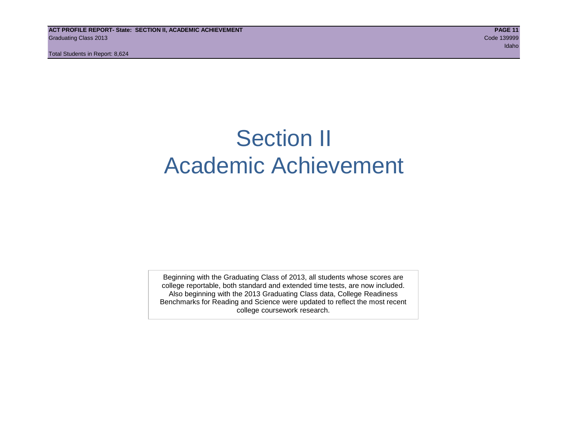Total Students in Report: 8,624

# Section II Academic Achievement

Beginning with the Graduating Class of 2013, all students whose scores are college reportable, both standard and extended time tests, are now included. Also beginning with the 2013 Graduating Class data, College Readiness Benchmarks for Reading and Science were updated to reflect the most recent college coursework research.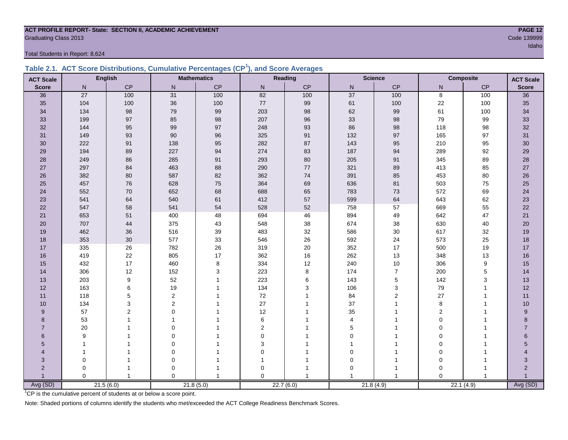# **ACT PROFILE REPORT- State: SECTION II, ACADEMIC ACHIEVEMENT PAGE 12 Graduating Class 2013** Code 139999

Total Students in Report: 8,624

|  | Table 2.1. ACT Score Distributions, Cumulative Percentages (CP <sup>1</sup> ), and Score Averages |  |  |  |
|--|---------------------------------------------------------------------------------------------------|--|--|--|
|  |                                                                                                   |  |  |  |

| <b>ACT Scale</b> |              | <b>English</b> |                | <b>Mathematics</b> |           | Reading       |                 | <b>Science</b> |                | <b>Composite</b><br><b>ACT Scale</b> |                |
|------------------|--------------|----------------|----------------|--------------------|-----------|---------------|-----------------|----------------|----------------|--------------------------------------|----------------|
| <b>Score</b>     | N            | CP             | $\mathsf{N}$   | $\mathsf{CP}$      | ${\sf N}$ | $\mathsf{CP}$ | ${\sf N}$       | CP             | N              | $\mathsf{CP}$                        | <b>Score</b>   |
| 36               | 27           | 100            | 31             | 100                | 82        | 100           | $\overline{37}$ | 100            | $\overline{8}$ | 100                                  | 36             |
| 35               | 104          | 100            | 36             | 100                | $77\,$    | 99            | 61              | 100            | 22             | 100                                  | 35             |
| 34               | 134          | 98             | 79             | 99                 | 203       | 98            | 62              | 99             | 61             | 100                                  | 34             |
| 33               | 199          | 97             | 85             | 98                 | 207       | 96            | 33              | 98             | 79             | 99                                   | 33             |
| 32               | 144          | 95             | 99             | $97\,$             | 248       | 93            | 86              | $98\,$         | 118            | 98                                   | $32\,$         |
| 31               | 149          | 93             | 90             | 96                 | 325       | 91            | 132             | 97             | 165            | 97                                   | 31             |
| 30               | 222          | 91             | 138            | 95                 | 282       | 87            | 143             | 95             | 210            | 95                                   | 30             |
| 29               | 194          | 89             | 227            | 94                 | 274       | 83            | 187             | 94             | 289            | 92                                   | 29             |
| 28               | 249          | 86             | 285            | 91                 | 293       | 80            | 205             | 91             | 345            | 89                                   | 28             |
| 27               | 297          | 84             | 463            | 88                 | 290       | $77\,$        | 321             | 89             | 413            | 85                                   | 27             |
| 26               | 382          | 80             | 587            | 82                 | 362       | 74            | 391             | 85             | 453            | 80                                   | $26\,$         |
| 25               | 457          | 76             | 628            | 75                 | 364       | 69            | 636             | 81             | 503            | 75                                   | 25             |
| 24               | 552          | 70             | 652            | 68                 | 688       | 65            | 783             | 73             | 572            | 69                                   | 24             |
| 23               | 541          | 64             | 540            | 61                 | 412       | 57            | 599             | 64             | 643            | 62                                   | 23             |
| 22               | 547          | 58             | 541            | 54                 | 528       | 52            | 758             | 57             | 669            | 55                                   | 22             |
| 21               | 653          | 51             | 400            | 48                 | 694       | 46            | 894             | 49             | 642            | 47                                   | 21             |
| 20               | 707          | 44             | 375            | 43                 | 548       | 38            | 674             | 38             | 630            | 40                                   | 20             |
| 19               | 462          | 36             | 516            | 39                 | 483       | 32            | 586             | $30\,$         | 617            | 32                                   | 19             |
| 18               | 353          | 30             | 577            | 33                 | 546       | 26            | 592             | 24             | 573            | 25                                   | 18             |
| 17               | 335          | 26             | 782            | $26\,$             | 319       | 20            | 352             | $17$           | 500            | 19                                   | 17             |
| 16               | 419          | 22             | 805            | 17                 | 362       | 16            | 262             | 13             | 348            | 13                                   | 16             |
| 15               | 432          | 17             | 460            | 8                  | 334       | 12            | 240             | $10\,$         | 306            | 9                                    | 15             |
| 14               | 306          | 12             | 152            | 3                  | 223       | 8             | 174             | $\overline{7}$ | 200            | $\mathbf 5$                          | 14             |
| 13               | 203          | 9              | 52             | $\overline{1}$     | 223       | 6             | 143             | 5              | 142            | 3                                    | 13             |
| 12               | 163          | 6              | 19             |                    | 134       | 3             | 106             | 3              | 79             | 1                                    | 12             |
| 11               | 118          | 5              | $\overline{2}$ |                    | $72\,$    |               | 84              | $\overline{2}$ | 27             | 1                                    | 11             |
| $10$             | 134          | 3              | 2              |                    | 27        |               | 37              | 1              | $\bf 8$        | 1                                    | 10             |
| 9                | 57           | $\overline{2}$ | $\Omega$       |                    | 12        |               | 35              |                | $\overline{2}$ |                                      | 9              |
| 8                | 53           |                | 1              |                    | 6         |               | $\overline{4}$  | 1              | $\Omega$       |                                      | 8              |
| $\overline{7}$   | 20           |                | $\mathbf 0$    |                    | 2         |               | 5               |                | $\mathbf 0$    |                                      | $\overline{7}$ |
| 6                | 9            |                | $\mathbf 0$    |                    | 0         |               | $\Omega$        | 1              | $\mathbf 0$    | 1                                    | 6              |
| 5                | $\mathbf{1}$ |                | $\mathbf 0$    |                    | 3         |               |                 |                | $\mathbf 0$    |                                      | 5              |
| 4                | 1            |                | $\mathbf 0$    |                    | 0         |               | $\Omega$        |                | $\Omega$       |                                      |                |
| 3                | $\mathbf 0$  |                | $\mathbf 0$    |                    | 1         |               | 0               | 1              | $\overline{0}$ | 1                                    | 3              |
| $\overline{2}$   | 0            | 1              | $\mathbf 0$    |                    | 0         |               | 0               | 1              | $\Omega$       | 1                                    | $\overline{2}$ |
|                  | $\Omega$     | $\mathbf{1}$   | $\Omega$       | $\mathbf{1}$       | $\Omega$  |               | 1               | -1             | $\Omega$       | $\mathbf{1}$                         | $\overline{1}$ |
| Avg (SD)         |              | 21.5(6.0)      |                | 21.8(5.0)          |           | 22.7(6.0)     |                 | 21.8(4.9)      | 22.1(4.9)      |                                      | Avg (SD)       |

<sup>1</sup>CP is the cumulative percent of students at or below a score point.

Note: Shaded portions of columns identify the students who met/exceeded the ACT College Readiness Benchmark Scores.

idaho kan kalendar dan mengenai kemudian dan mengenai kemudian pengerangan dan mengenai kemudian dan mengenai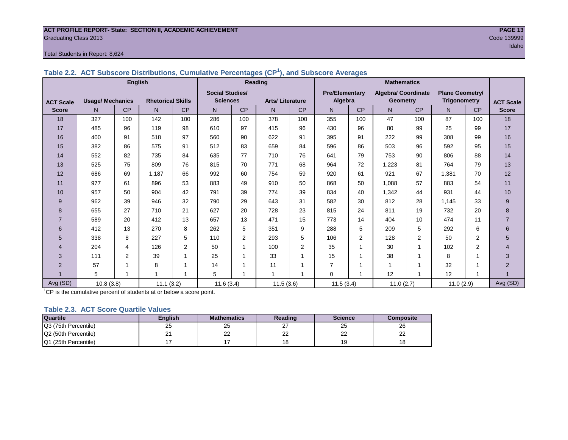#### **ACT PROFILE REPORT- State: SECTION II, ACADEMIC ACHIEVEMENT PAGE 13** Graduating Class 2013 Code 139999

# Total Students in Report: 8,624

|                  |                         | <b>English</b> |                          |                |                        |                | Reading                 |                         | <b>Mathematics</b>    |                |                            |           |                        |     |                  |
|------------------|-------------------------|----------------|--------------------------|----------------|------------------------|----------------|-------------------------|-------------------------|-----------------------|----------------|----------------------------|-----------|------------------------|-----|------------------|
|                  |                         |                |                          |                | <b>Social Studies/</b> |                |                         |                         | <b>Pre/Elementary</b> |                | <b>Algebra/ Coordinate</b> |           | <b>Plane Geometry/</b> |     |                  |
| <b>ACT Scale</b> | <b>Usage/ Mechanics</b> |                | <b>Rhetorical Skills</b> |                | <b>Sciences</b>        |                | <b>Arts/Literature</b>  |                         | Algebra               |                | <b>Geometry</b>            |           | <b>Trigonometry</b>    |     | <b>ACT Scale</b> |
| <b>Score</b>     | N.                      | CP             | N                        | CP             | N                      | CP             | N                       | CP                      | N <sub>1</sub>        | <b>CP</b>      | N.                         | <b>CP</b> | N                      | CP  | <b>Score</b>     |
| 18               | 327                     | 100            | 142                      | 100            | 286                    | 100            | 378                     | 100                     | 355                   | 100            | 47                         | 100       | 87                     | 100 | 18               |
| 17               | 485                     | 96             | 119                      | 98             | 610                    | 97             | 415                     | 96                      | 430                   | 96             | 80                         | 99        | 25                     | 99  | 17               |
| 16               | 400                     | 91             | 518                      | 97             | 560                    | 90             | 622                     | 91                      | 395                   | 91             | 222                        | 99        | 308                    | 99  | 16               |
| 15               | 382                     | 86             | 575                      | 91             | 512                    | 83             | 659                     | 84                      | 596                   | 86             | 503                        | 96        | 592                    | 95  | 15               |
| 14               | 552                     | 82             | 735                      | 84             | 635                    | 77             | 710                     | 76                      | 641                   | 79             | 753                        | 90        | 806                    | 88  | 14               |
| 13               | 525                     | 75             | 809                      | 76             | 815                    | 70             | 771                     | 68                      | 964                   | 72             | 1,223                      | 81        | 764                    | 79  | 13               |
| 12               | 686                     | 69             | 1,187                    | 66             | 992                    | 60             | 754                     | 59                      | 920                   | 61             | 921                        | 67        | 1,381                  | 70  | 12               |
| 11               | 977                     | 61             | 896                      | 53             | 883                    | 49             | 910                     | 50                      | 868                   | 50             | 1,088                      | 57        | 883                    | 54  | 11               |
| 10               | 957                     | 50             | 904                      | 42             | 791                    | 39             | 774                     | 39                      | 834                   | 40             | 1,342                      | 44        | 931                    | 44  | 10               |
| 9                | 962                     | 39             | 946                      | 32             | 790                    | 29             | 643                     | 31                      | 582                   | 30             | 812                        | 28        | 1,145                  | 33  | 9                |
| 8                | 655                     | 27             | 710                      | 21             | 627                    | 20             | 728                     | 23                      | 815                   | 24             | 811                        | 19        | 732                    | 20  | 8                |
|                  | 589                     | 20             | 412                      | 13             | 657                    | 13             | 471                     | 15                      | 773                   | 14             | 404                        | 10        | 474                    | 11  | $\overline{7}$   |
| 6                | 412                     | 13             | 270                      | 8              | 262                    | 5              | 351                     | 9                       | 288                   | 5              | 209                        | 5         | 292                    | 6   | 6                |
| 5                | 338                     | 8              | 227                      | 5              | 110                    | $\overline{2}$ | 293                     | 5                       | 106                   | $\overline{2}$ | 128                        | 2         | 50                     | 2   | 5                |
| 4                | 204                     | 4              | 126                      | $\overline{2}$ | 50                     | 1              | 100                     | 2                       | 35                    | 1              | 30                         | 1         | 102                    | 2   | $\overline{4}$   |
| 3                | 111                     | 2              | 39                       |                | 25                     |                | 33                      | 1                       | 15                    | $\mathbf{1}$   | 38                         |           | 8                      |     | 3                |
| $\overline{2}$   | 57                      |                | 8                        |                | 14                     |                | 11                      | 1                       | $\overline{7}$        | 1              |                            |           | 32                     |     | $\overline{2}$   |
|                  | 5                       |                |                          |                | 5                      |                | $\overline{\mathbf{1}}$ | $\overline{\mathbf{A}}$ | $\Omega$              | 1              | 12                         | 1         | 12                     | 1   |                  |
| Avg (SD)         | 10.8(3.8)               |                | 11.1(3.2)                |                | 11.6(3.4)              |                | 11.5(3.6)               |                         | 11.5(3.4)             |                | 11.0(2.7)                  |           | 11.0(2.9)              |     | Avg (SD)         |

**Table 2.2. ACT Subscore Distributions, Cumulative Percentages (CP<sup>1</sup> ), and Subscore Averages**

 $1$ <sup>T</sup>CP is the cumulative percent of students at or below a score point.

# **Table 2.3. ACT Score Quartile Values**

| <b>Quartile</b>      | Enalish | <b>Mathematics</b> | Reading  | <b>Science</b>      | Composite |
|----------------------|---------|--------------------|----------|---------------------|-----------|
| Q3 (75th Percentile) | 25      | 25                 | ا ک      | 25                  | 26        |
| Q2 (50th Percentile) |         | ົ<br>--            | nr<br>∠∠ | $\sim$<br><u>__</u> | nn<br>--  |
| Q1 (25th Percentile) |         |                    |          | 19                  | 18        |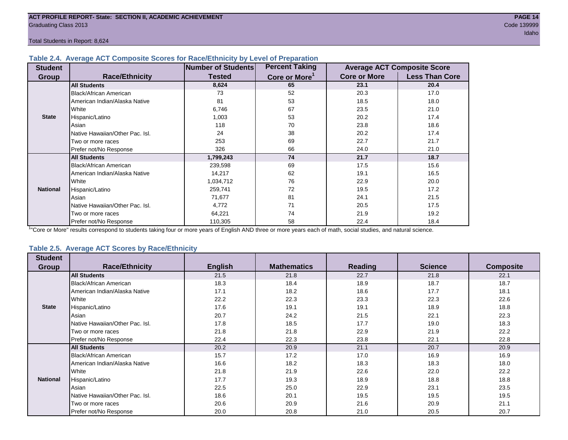Total Students in Report: 8,624

# **Table 2.4. Average ACT Composite Scores for Race/Ethnicity by Level of Preparation**

| <b>Student</b>  |                                 | <b>Number of Students</b> | <b>Percent Taking</b>     |                     | <b>Average ACT Composite Score</b> |
|-----------------|---------------------------------|---------------------------|---------------------------|---------------------|------------------------------------|
| <b>Group</b>    | <b>Race/Ethnicity</b>           | <b>Tested</b>             | Core or More <sup>1</sup> | <b>Core or More</b> | <b>Less Than Core</b>              |
|                 | <b>All Students</b>             | 8,624                     | 65                        | 23.1                | 20.4                               |
|                 | <b>Black/African American</b>   | 73                        | 52                        | 20.3                | 17.0                               |
|                 | American Indian/Alaska Native   | 81                        | 53                        | 18.5                | 18.0                               |
|                 | White                           | 6,746                     | 67                        | 23.5                | 21.0                               |
| <b>State</b>    | Hispanic/Latino                 | 1,003                     | 53                        | 20.2                | 17.4                               |
|                 | Asian                           | 118                       | 70                        | 23.8                | 18.6                               |
|                 | Native Hawaiian/Other Pac. Isl. | 24                        | 38                        | 20.2                | 17.4                               |
|                 | I Two or more races             | 253                       | 69                        | 22.7                | 21.7                               |
|                 | Prefer not/No Response          | 326                       | 66                        | 24.0                | 21.0                               |
|                 | <b>All Students</b>             | 1,799,243                 | 74                        | 21.7                | 18.7                               |
|                 | Black/African American          | 239,598                   | 69                        | 17.5                | 15.6                               |
|                 | American Indian/Alaska Native   | 14,217                    | 62                        | 19.1                | 16.5                               |
|                 | <b>White</b>                    | 1,034,712                 | 76                        | 22.9                | 20.0                               |
| <b>National</b> | Hispanic/Latino                 | 259,741                   | 72                        | 19.5                | 17.2                               |
|                 | Asian                           | 71,677                    | 81                        | 24.1                | 21.5                               |
|                 | Native Hawaiian/Other Pac. Isl. | 4,772                     | 71                        | 20.5                | 17.5                               |
|                 | Two or more races               | 64,221                    | 74                        | 21.9                | 19.2                               |
|                 | Prefer not/No Response          | 110,305                   | 58                        | 22.4                | 18.4                               |

<sup>1</sup>"Core or More" results correspond to students taking four or more years of English AND three or more years each of math, social studies, and natural science.

# **Table 2.5. Average ACT Scores by Race/Ethnicity**

| <b>Student</b>  |                                 |                |                    |                |                |                  |
|-----------------|---------------------------------|----------------|--------------------|----------------|----------------|------------------|
| Group           | <b>Race/Ethnicity</b>           | <b>English</b> | <b>Mathematics</b> | <b>Reading</b> | <b>Science</b> | <b>Composite</b> |
|                 | <b>All Students</b>             | 21.5           | 21.8               | 22.7           | 21.8           | 22.1             |
|                 | Black/African American          | 18.3           | 18.4               | 18.9           | 18.7           | 18.7             |
|                 | American Indian/Alaska Native   | 17.1           | 18.2               | 18.6           | 17.7           | 18.1             |
|                 | White                           | 22.2           | 22.3               | 23.3           | 22.3           | 22.6             |
| <b>State</b>    | Hispanic/Latino                 | 17.6           | 19.1               | 19.1           | 18.9           | 18.8             |
|                 | Asian                           | 20.7           | 24.2               | 21.5           | 22.1           | 22.3             |
|                 | Native Hawaiian/Other Pac. Isl. | 17.8           | 18.5               | 17.7           | 19.0           | 18.3             |
|                 | Two or more races               | 21.8           | 21.8               | 22.9           | 21.9           | 22.2             |
|                 | Prefer not/No Response          | 22.4           | 22.3               | 23.8           | 22.1           | 22.8             |
|                 | <b>All Students</b>             | 20.2           | 20.9               | 21.1           | 20.7           | 20.9             |
|                 | <b>Black/African American</b>   | 15.7           | 17.2               | 17.0           | 16.9           | 16.9             |
|                 | American Indian/Alaska Native   | 16.6           | 18.2               | 18.3           | 18.3           | 18.0             |
|                 | White                           | 21.8           | 21.9               | 22.6           | 22.0           | 22.2             |
| <b>National</b> | Hispanic/Latino                 | 17.7           | 19.3               | 18.9           | 18.8           | 18.8             |
|                 | Asian                           | 22.5           | 25.0               | 22.9           | 23.1           | 23.5             |
|                 | Native Hawaiian/Other Pac. Isl. | 18.6           | 20.1               | 19.5           | 19.5           | 19.5             |
|                 | Two or more races               | 20.6           | 20.9               | 21.6           | 20.9           | 21.1             |
|                 | Prefer not/No Response          | 20.0           | 20.8               | 21.0           | 20.5           | 20.7             |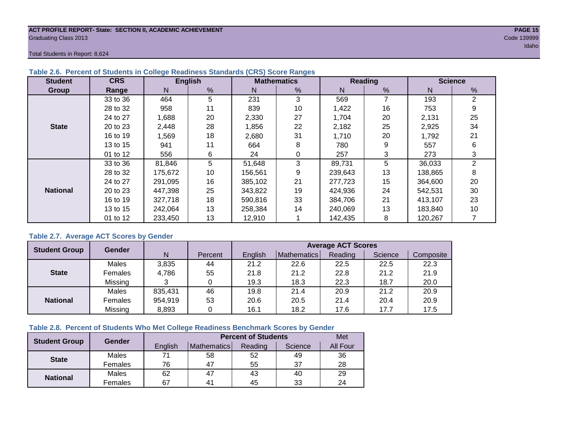#### **ACT PROFILE REPORT- State: SECTION II, ACADEMIC ACHIEVEMENT PAGE 15** Graduating Class 2013 Code 139999

Total Students in Report: 8,624

| <b>Student</b>  | <b>CRS</b> |         | <b>English</b> |         | <b>Mathematics</b> |         | <b>Reading</b> | <b>Science</b> |    |  |
|-----------------|------------|---------|----------------|---------|--------------------|---------|----------------|----------------|----|--|
| Group           | Range      | N       | %              | N       | %                  | N       | %              | N              | %  |  |
|                 | 33 to 36   | 464     | 5              | 231     | 3                  | 569     | 7              | 193            | 2  |  |
|                 | 28 to 32   | 958     | 11             | 839     | 10                 | 1,422   | 16             | 753            | 9  |  |
|                 | 24 to 27   | 1,688   | 20             | 2,330   | 27                 | 1,704   | 20             | 2,131          | 25 |  |
| <b>State</b>    | 20 to 23   | 2,448   | 28             | 1,856   | 22                 | 2,182   | 25             | 2,925          | 34 |  |
|                 | 16 to 19   | 1,569   | 18             | 2,680   | 31                 | 1,710   | 20             | 1,792          | 21 |  |
|                 | 13 to 15   | 941     | 11             | 664     | 8                  | 780     | 9              | 557            | 6  |  |
|                 | 01 to 12   | 556     | 6              | 24      | 0                  | 257     | 3              | 273            | 3  |  |
|                 | 33 to 36   | 81,846  | 5              | 51,648  | 3                  | 89,731  | 5              | 36,033         | 2  |  |
|                 | 28 to 32   | 175,672 | 10             | 156,561 | 9                  | 239,643 | 13             | 138,865        | 8  |  |
|                 | 24 to 27   | 291.095 | 16             | 385,102 | 21                 | 277.723 | 15             | 364,600        | 20 |  |
| <b>National</b> | 20 to 23   | 447,398 | 25             | 343,822 | 19                 | 424,936 | 24             | 542.531        | 30 |  |
|                 | 16 to 19   | 327,718 | 18             | 590,816 | 33                 | 384.706 | 21             | 413,107        | 23 |  |
|                 | 13 to 15   | 242.064 | 13             | 258,384 | 14                 | 240,069 | 13             | 183,840        | 10 |  |
|                 | 01 to 12   | 233,450 | 13             | 12,910  |                    | 142,435 | 8              | 120,267        |    |  |

# **Table 2.6. Percent of Students in College Readiness Standards (CRS) Score Ranges**

# **Table 2.7. Average ACT Scores by Gender**

| <b>Student Group</b> | <b>Gender</b> |         |         | <b>Average ACT Scores</b> |             |         |         |           |  |  |  |
|----------------------|---------------|---------|---------|---------------------------|-------------|---------|---------|-----------|--|--|--|
|                      |               | N       | Percent | Enalish                   | Mathematics | Reading | Science | Composite |  |  |  |
|                      | Males         | 3,835   | 44      | 21.2                      | 22.6        | 22.5    | 22.5    | 22.3      |  |  |  |
| <b>State</b>         | Females       | 4,786   | 55      | 21.8                      | 21.2        | 22.8    | 21.2    | 21.9      |  |  |  |
|                      | Missing       |         |         | 19.3                      | 18.3        | 22.3    | 18.7    | 20.0      |  |  |  |
|                      | Males         | 835,431 | 46      | 19.8                      | 21.4        | 20.9    | 21.2    | 20.9      |  |  |  |
| <b>National</b>      | Females       | 954,919 | 53      | 20.6                      | 20.5        | 21.4    | 20.4    | 20.9      |  |  |  |
|                      | Missing       | 8,893   | 0       | 16.1                      | 18.2        | 17.6    | 17.7    | 17.5      |  |  |  |

# **Table 2.8. Percent of Students Who Met College Readiness Benchmark Scores by Gender**

| <b>Student Group</b> | <b>Gender</b> |         | <b>Percent of Students</b> |         |         |          |  |  |  |  |
|----------------------|---------------|---------|----------------------------|---------|---------|----------|--|--|--|--|
|                      |               | English | Mathematics                | Reading | Science | All Four |  |  |  |  |
| <b>State</b>         | Males         | 74      | 58                         | 52      | 49      | 36       |  |  |  |  |
|                      | Females       | 76      | 47                         | 55      | 37      | 28       |  |  |  |  |
|                      | Males         | 62      | 47                         | 43      | 40      | 29       |  |  |  |  |
| <b>National</b>      | Females       | 67      | 4 <sup>1</sup>             | 45      | 33      | 24       |  |  |  |  |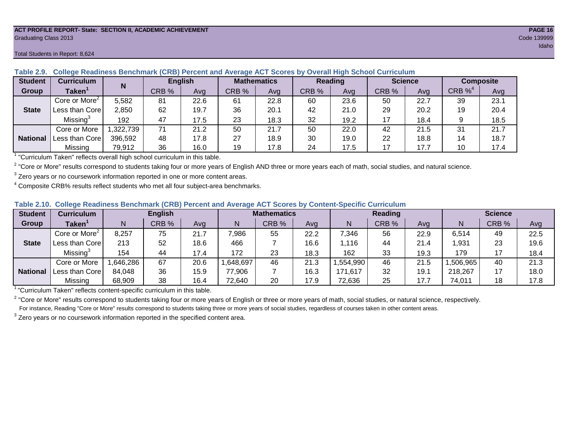#### **ACT PROFILE REPORT- State: SECTION II, ACADEMIC ACHIEVEMENT PAGE 16** Graduating Class 2013 Code 139999

#### Total Students in Report: 8,624

| <b>Student</b>  | <b>Curriculum</b>                                                        | N        | <b>English</b> |      |       | <b>Mathematics</b> | <b>Reading</b> |      |       | <b>Science</b> | <b>Composite</b> |      |
|-----------------|--------------------------------------------------------------------------|----------|----------------|------|-------|--------------------|----------------|------|-------|----------------|------------------|------|
| Group           | Taken $^{\scriptscriptstyle\mathsf{T}}$                                  |          | CRB %          | Avg  | CRB % | Avg                | CRB %          | Avg  | CRB % | Avg            | $CRB\%4$         | Avg  |
|                 | Core or More <sup>2</sup>                                                | 5,582    | 81             | 22.6 | 61    | 22.8               | 60             | 23.6 | 50    | 22.7           | 39               | 23.1 |
| <b>State</b>    | Less than Corel                                                          | 2,850    | 62             | 19.7 | 36    | 20.1               | 42             | 21.0 | 29    | 20.2           | 19               | 20.4 |
|                 | Missing <sup>3</sup>                                                     | 192      | 47             | 17.5 | 23    | 18.3               | 32             | 19.2 | 17    | 18.4           |                  | 18.5 |
|                 | Core or More                                                             | ,322,739 | 71             | 21.2 | 50    | 21.7               | 50             | 22.0 | 42    | 21.5           | 31               | 21.7 |
| <b>National</b> | Less than Core                                                           | 396.592  | 48             | 17.8 | 27    | 18.9               | 30             | 19.0 | 22    | 18.8           | 14               | 18.7 |
|                 | Missing                                                                  | 79,912   | 36             | 16.0 | 19    | 17.8               | 24             | 17.5 | 17    | 17.7           | 10               | 17.4 |
|                 | "Curriculum Token" reflecte overall bigh school ourriculum in this toble |          |                |      |       |                    |                |      |       |                |                  |      |

# **Table 2.9. College Readiness Benchmark (CRB) Percent and Average ACT Scores by Overall High School Curriculum**

"Curriculum Taken" reflects overall high school curriculum in this table.

 $^2$  "Core or More" results correspond to students taking four or more years of English AND three or more years each of math, social studies, and natural science.

 $3$  Zero years or no coursework information reported in one or more content areas.

 $4$  Composite CRB% results reflect students who met all four subject-area benchmarks.

### **Table 2.10. College Readiness Benchmark (CRB) Percent and Average ACT Scores by Content-Specific Curriculum**

| <b>Student</b>  | Curriculum                |          | <b>English</b> |      |          | <b>Mathematics</b> |      |          | <b>Reading</b> |      |          | <b>Science</b> |      |  |
|-----------------|---------------------------|----------|----------------|------|----------|--------------------|------|----------|----------------|------|----------|----------------|------|--|
| Group           | <b>Taken</b>              |          | CRB %          | Avg  |          | CRB %              | Avg  | N        | CRB %          | Avg  | N        | CRB %          | Avg  |  |
|                 | Core or More <sup>2</sup> | 8,257    | 75             | 21.7 | 7,986    | 55                 | 22.2 | 7,346    | 56             | 22.9 | 6,514    | 49             | 22.5 |  |
| <b>State</b>    | Less than Core            | 213      | 52             | 18.6 | 466      |                    | 16.6 | .116     | 44             | 21.4 | 1,931    | 23             | 19.6 |  |
|                 | Missing <sup>3</sup>      | 154      | 44             | 17.4 | 172      | 23                 | 18.3 | 162      | 33             | 19.3 | 179      |                | 18.4 |  |
|                 | Core or More              | .646,286 | 67             | 20.6 | ,648,697 | 46                 | 21.3 | .554,990 | 46             | 21.5 | ,506,965 | 40             | 21.3 |  |
| <b>National</b> | Less than Core            | 84,048   | 36             | 15.9 | 77,906   |                    | 16.3 | 171,617  | 32             | 19.1 | 218,267  |                | 18.0 |  |
|                 | Missing                   | 68,909   | 38             | 16.4 | 72,640   | 20                 | 17.9 | 72,636   | 25             | 17.7 | 74,011   | 18             | 17.8 |  |

<sup>1</sup> "Curriculum Taken" reflects content-specific curriculum in this table.

<sup>2</sup> "Core or More" results correspond to students taking four or more years of English or three or more years of math, social studies, or natural science, respectively. For instance, Reading "Core or More" results correspond to students taking three or more years of social studies, regardless of courses taken in other content areas.

 $3$  Zero years or no coursework information reported in the specified content area.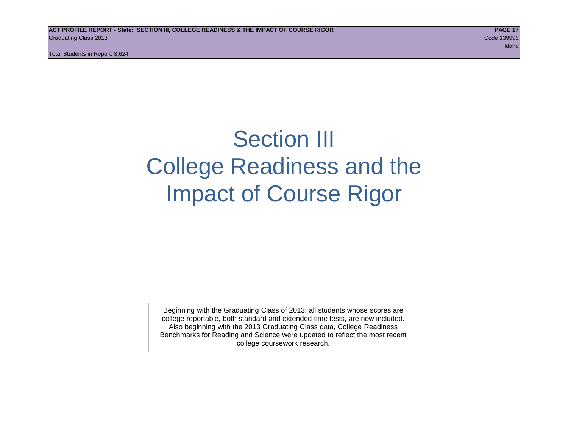Total Students in Report: 8,624

# Section III College Readiness and the Impact of Course Rigor

Beginning with the Graduating Class of 2013, all students whose scores are college reportable, both standard and extended time tests, are now included. Also beginning with the 2013 Graduating Class data, College Readiness Benchmarks for Reading and Science were updated to reflect the most recent college coursework research.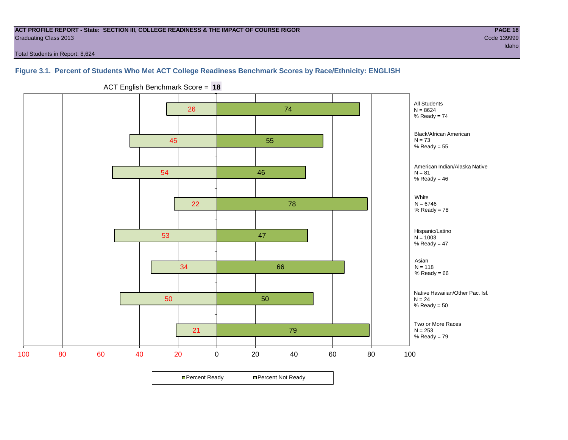#### **ACT PROFILE REPORT - State: SECTION III, COLLEGE READINESS & THE IMPACT OF COURSE RIGOR PAGE 18** Graduating Class 2013 Code 139999

Total Students in Report: 8,624

# **Figure 3.1. Percent of Students Who Met ACT College Readiness Benchmark Scores by Race/Ethnicity: ENGLISH**



ACT English Benchmark Score = **18**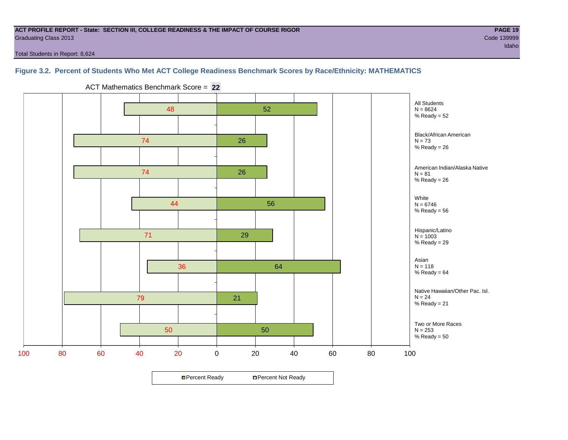#### **ACT PROFILE REPORT - State: SECTION III, COLLEGE READINESS & THE IMPACT OF COURSE RIGOR PAGE 19** Graduating Class 2013 Code 139999

Total Students in Report: 8,624

# **Figure 3.2. Percent of Students Who Met ACT College Readiness Benchmark Scores by Race/Ethnicity: MATHEMATICS**

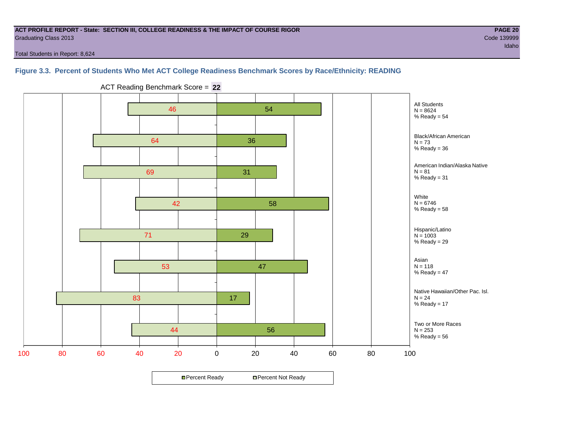#### **ACT PROFILE REPORT - State: SECTION III, COLLEGE READINESS & THE IMPACT OF COURSE RIGOR PAGE 20** Graduating Class 2013 Code 139999

Total Students in Report: 8,624

# **Figure 3.3. Percent of Students Who Met ACT College Readiness Benchmark Scores by Race/Ethnicity: READING**



ACT Reading Benchmark Score = **22**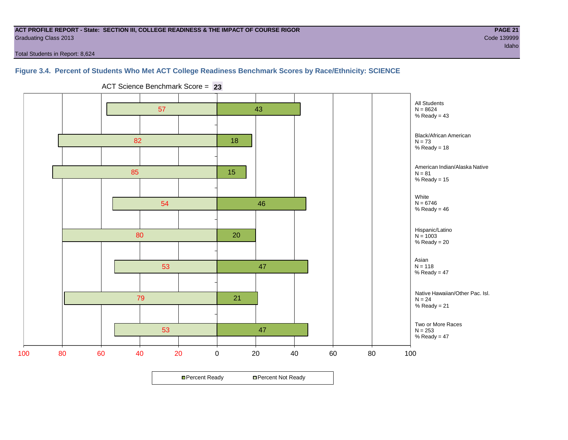#### **ACT PROFILE REPORT - State: SECTION III, COLLEGE READINESS & THE IMPACT OF COURSE RIGOR PAGE 21** Graduating Class 2013 Code 139999

Total Students in Report: 8,624

# **Figure 3.4. Percent of Students Who Met ACT College Readiness Benchmark Scores by Race/Ethnicity: SCIENCE**



ACT Science Benchmark Score = **23**

**□ Percent Ready DPercent Not Ready**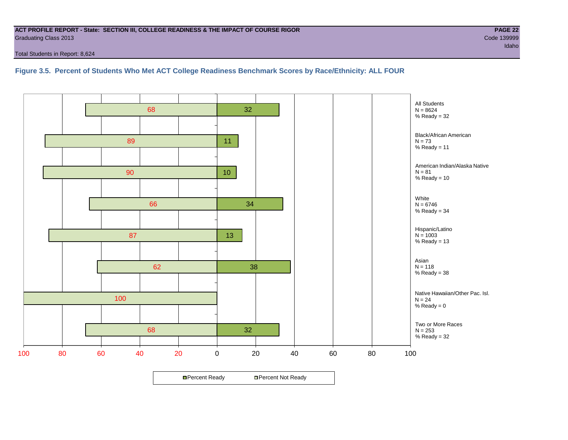#### **ACT PROFILE REPORT - State: SECTION III, COLLEGE READINESS & THE IMPACT OF COURSE RIGOR PAGE 22** Graduating Class 2013 Code 139999

Total Students in Report: 8,624

# **Figure 3.5. Percent of Students Who Met ACT College Readiness Benchmark Scores by Race/Ethnicity: ALL FOUR**

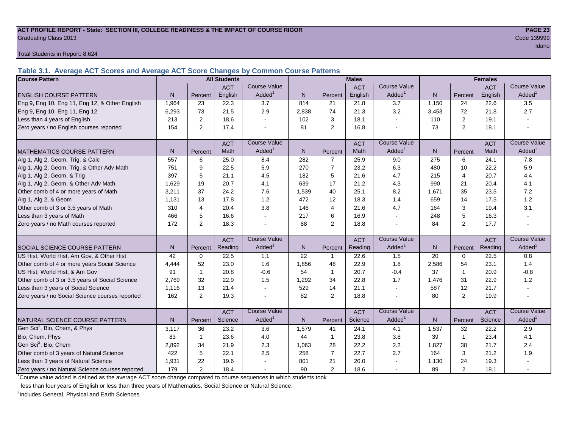### **ACT PROFILE REPORT - State: SECTION III, COLLEGE READINESS & THE IMPACT OF COURSE RIGOR PAGE 23** Graduating Class 2013 Code 139999

Total Students in Report: 8,624

**Table 3.1. Average ACT Scores and Average ACT Score Changes by Common Course Patterns**

| <b>Course Pattern</b>                            |                |                | <b>All Students</b> |                     |       |                | <b>Males</b> |                     |              | <b>Females</b> |            |                        |
|--------------------------------------------------|----------------|----------------|---------------------|---------------------|-------|----------------|--------------|---------------------|--------------|----------------|------------|------------------------|
|                                                  |                |                | <b>ACT</b>          | <b>Course Value</b> |       |                | <b>ACT</b>   | <b>Course Value</b> |              |                | <b>ACT</b> | <b>Course Value</b>    |
| <b>ENGLISH COURSE PATTERN</b>                    | N <sub>1</sub> | Percent        | English             | Added <sup>1</sup>  | N     | Percent        | English      | Added <sup>1</sup>  | $\mathsf{N}$ | Percent        | English    | A d d e d <sup>1</sup> |
| Eng 9, Eng 10, Eng 11, Eng 12, & Other English   | 1,964          | 23             | 22.3                | 3.7                 | 814   | 21             | 21.8         | 3.7                 | 1,150        | 24             | 22.6       | 3.5                    |
| Eng 9, Eng 10, Eng 11, Eng 12                    | 6,293          | 73             | 21.5                | 2.9                 | 2,838 | 74             | 21.3         | 3.2                 | 3,453        | 72             | 21.8       | 2.7                    |
| Less than 4 years of English                     | 213            | 2              | 18.6                |                     | 102   | 3              | 18.1         | $\sim$              | 110          | 2              | 19.1       |                        |
| Zero years / no English courses reported         | 154            | $\overline{2}$ | 17.4                |                     | 81    | 2              | 16.8         |                     | 73           | $\overline{2}$ | 18.1       |                        |
|                                                  |                |                | <b>ACT</b>          | <b>Course Value</b> |       |                | <b>ACT</b>   | <b>Course Value</b> |              |                | <b>ACT</b> | <b>Course Value</b>    |
| <b>MATHEMATICS COURSE PATTERN</b>                | N <sub>1</sub> | Percent        | Math                | Added               | N.    | Percent        | Math         | Added <sup>1</sup>  | N            | Percent        | Math       | Added <sup>1</sup>     |
| Alg 1, Alg 2, Geom, Trig, & Calc                 | 557            | 6              | 25.0                | 8.4                 | 282   | $\overline{7}$ | 25.9         | 9.0                 | 275          | 6              | 24.1       | 7.8                    |
| Alg 1, Alg 2, Geom, Trig, & Other Adv Math       | 751            | 9              | 22.5                | 5.9                 | 270   | $\overline{7}$ | 23.2         | 6.3                 | 480          | 10             | 22.2       | 5.9                    |
| Alg 1, Alg 2, Geom, & Trig                       | 397            | 5              | 21.1                | 4.5                 | 182   | 5              | 21.6         | 4.7                 | 215          | $\overline{4}$ | 20.7       | 4.4                    |
| Alg 1, Alg 2, Geom, & Other Adv Math             | 1,629          | 19             | 20.7                | 4.1                 | 639   | 17             | 21.2         | 4.3                 | 990          | 21             | 20.4       | 4.1                    |
| Other comb of 4 or more years of Math            | 3,211          | 37             | 24.2                | 7.6                 | 1,539 | 40             | 25.1         | 8.2                 | 1,671        | 35             | 23.5       | 7.2                    |
| Alg 1, Alg 2, & Geom                             | 1,131          | 13             | 17.8                | 1.2                 | 472   | 12             | 18.3         | 1.4                 | 659          | 14             | 17.5       | $1.2$                  |
| Other comb of 3 or 3.5 years of Math             | 310            | 4              | 20.4                | 3.8                 | 146   | $\overline{4}$ | 21.6         | 4.7                 | 164          | 3              | 19.4       | 3.1                    |
| Less than 3 years of Math                        | 466            | 5              | 16.6                |                     | 217   | 6              | 16.9         | $\overline{a}$      | 248          | 5              | 16.3       |                        |
| Zero years / no Math courses reported            | 172            | 2              | 18.3                |                     | 88    | $\overline{2}$ | 18.8         |                     | 84           | $\overline{2}$ | 17.7       |                        |
|                                                  |                |                | <b>ACT</b>          | <b>Course Value</b> |       |                | <b>ACT</b>   | <b>Course Value</b> |              |                | <b>ACT</b> | <b>Course Value</b>    |
| <b>SOCIAL SCIENCE COURSE PATTERN</b>             | N              | Percent        | Reading             | Added               | N     | Percent        | Reading      | Added               | N            | Percent        | Reading    | A d d e d <sup>1</sup> |
| US Hist, World Hist, Am Gov, & Other Hist        | 42             | $\mathbf 0$    | 22.5                | 1.1                 | 22    | $\mathbf{1}$   | 22.6         | 1.5                 | 20           | $\Omega$       | 22.5       | 0.8                    |
| Other comb of 4 or more years Social Science     | 4.444          | 52             | 23.0                | 1.6                 | 1,856 | 48             | 22.9         | 1.8                 | 2,586        | 54             | 23.1       | 1.4                    |
| US Hist, World Hist, & Am Gov                    | 91             | 1              | 20.8                | $-0.6$              | 54    | $\mathbf{1}$   | 20.7         | $-0.4$              | 37           | $\overline{1}$ | 20.9       | $-0.8$                 |
| Other comb of 3 or 3.5 years of Social Science   | 2.769          | 32             | 22.9                | 1.5                 | 1,292 | 34             | 22.8         | 1.7                 | 1,476        | 31             | 22.9       | 1.2                    |
| Less than 3 years of Social Science              | 1,116          | 13             | 21.4                |                     | 529   | 14             | 21.1         | $\sim$              | 587          | 12             | 21.7       |                        |
| Zero years / no Social Science courses reported  | 162            | 2              | 19.3                |                     | 82    | 2              | 18.8         | $\blacksquare$      | 80           | $\overline{2}$ | 19.9       | $\blacksquare$         |
|                                                  |                |                | <b>ACT</b>          | <b>Course Value</b> |       |                | <b>ACT</b>   | <b>Course Value</b> |              |                | <b>ACT</b> | <b>Course Value</b>    |
| NATURAL SCIENCE COURSE PATTERN                   | N <sub>1</sub> | Percent        | Science             | Added               | N.    | Percent        | Science      | Added               | N            | Percent        | Science    | A d d e d <sup>1</sup> |
| Gen Sci <sup>2</sup> , Bio, Chem, & Phys         | 3,117          | 36             | 23.2                | 3.6                 | 1,579 | 41             | 24.1         | 4.1                 | 1,537        | 32             | 22.2       | 2.9                    |
| Bio, Chem, Phys                                  | 83             | $\mathbf 1$    | 23.6                | 4.0                 | 44    | $\mathbf{1}$   | 23.8         | 3.8                 | 39           | $\overline{1}$ | 23.4       | 4.1                    |
| Gen Sci <sup>2</sup> , Bio, Chem                 | 2,892          | 34             | 21.9                | 2.3                 | 1,063 | 28             | 22.2         | 2.2                 | 1,827        | 38             | 21.7       | 2.4                    |
| Other comb of 3 years of Natural Science         | 422            | 5              | 22.1                | 2.5                 | 258   | $\overline{7}$ | 22.7         | 2.7                 | 164          | 3              | 21.2       | 1.9                    |
| Less than 3 years of Natural Science             | 1,931          | 22             | 19.6                |                     | 801   | 21             | 20.0         |                     | 1,130        | 24             | 19.3       |                        |
| Zero years / no Natural Science courses reported | 179            | 2              | 18.4                |                     | 90    | 2              | 18.6         |                     | 89           | $\overline{2}$ | 18.1       |                        |

<sup>1</sup>Course value added is defined as the average ACT score change compared to course sequences in which students took

less than four years of English or less than three years of Mathematics, Social Science or Natural Science.

<sup>2</sup>Includes General, Physical and Earth Sciences.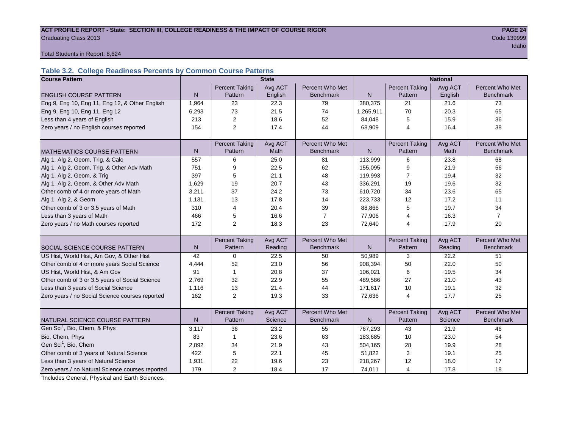# ACT PROFILE REPORT - State: SECTION III, COLLEGE READINESS & THE IMPACT OF COURSE RIGOR **PAGE 24 Graduating Class 2013** Code 139999

idaho kan kalendar dan mengenai kemudian dan mengenai kemudian dan mengenai kemudian dan mengenai kemudian dan

Total Students in Report: 8,624

# **Table 3.2. College Readiness Percents by Common Course Patterns**

| <b>Course Pattern</b>                            |              |                       | <b>State</b> |                  | <b>National</b> |                       |         |                  |  |
|--------------------------------------------------|--------------|-----------------------|--------------|------------------|-----------------|-----------------------|---------|------------------|--|
|                                                  |              | <b>Percent Taking</b> | Avg ACT      | Percent Who Met  |                 | <b>Percent Taking</b> | Avg ACT | Percent Who Met  |  |
| <b>ENGLISH COURSE PATTERN</b>                    | $\mathsf{N}$ | Pattern               | English      | <b>Benchmark</b> | $\mathsf{N}$    | Pattern               | English | <b>Benchmark</b> |  |
| Eng 9, Eng 10, Eng 11, Eng 12, & Other English   | 1,964        | 23                    | 22.3         | 79               | 380,375         | 21                    | 21.6    | 73               |  |
| Eng 9, Eng 10, Eng 11, Eng 12                    | 6,293        | 73                    | 21.5         | 74               | 1,265,911       | 70                    | 20.3    | 65               |  |
| Less than 4 years of English                     | 213          | $\overline{2}$        | 18.6         | 52               | 84,048          | 5                     | 15.9    | 36               |  |
| Zero years / no English courses reported         | 154          | $\overline{2}$        | 17.4         | 44               | 68,909          | 4                     | 16.4    | 38               |  |
|                                                  |              |                       |              |                  |                 |                       |         |                  |  |
|                                                  |              | <b>Percent Taking</b> | Avg ACT      | Percent Who Met  |                 | <b>Percent Taking</b> | Avg ACT | Percent Who Met  |  |
| <b>MATHEMATICS COURSE PATTERN</b>                | $\mathsf{N}$ | Pattern               | Math         | <b>Benchmark</b> | $\mathsf{N}$    | Pattern               | Math    | <b>Benchmark</b> |  |
| Alg 1, Alg 2, Geom, Trig, & Calc                 | 557          | 6                     | 25.0         | 81               | 113,999         | 6                     | 23.8    | 68               |  |
| Alg 1, Alg 2, Geom, Trig, & Other Adv Math       | 751          | 9                     | 22.5         | 62               | 155,095         | 9                     | 21.9    | 56               |  |
| Alg 1, Alg 2, Geom, & Trig                       | 397          | 5                     | 21.1         | 48               | 119,993         | $\overline{7}$        | 19.4    | 32               |  |
| Alg 1, Alg 2, Geom, & Other Adv Math             | 1,629        | 19                    | 20.7         | 43               | 336,291         | 19                    | 19.6    | 32               |  |
| Other comb of 4 or more years of Math            | 3,211        | 37                    | 24.2         | 73               | 610,720         | 34                    | 23.6    | 65               |  |
| Alg 1, Alg 2, & Geom                             | 1,131        | 13                    | 17.8         | 14               | 223,733         | 12                    | 17.2    | 11               |  |
| Other comb of 3 or 3.5 years of Math             | 310          | 4                     | 20.4         | 39               | 88,866          | 5                     | 19.7    | 34               |  |
| Less than 3 years of Math                        | 466          | 5                     | 16.6         | $\overline{7}$   | 77,906          | 4                     | 16.3    | $\overline{7}$   |  |
| Zero years / no Math courses reported            | 172          | $\overline{2}$        | 18.3         | 23               | 72,640          | 4                     | 17.9    | 20               |  |
|                                                  |              |                       |              |                  |                 |                       |         |                  |  |
|                                                  |              | <b>Percent Taking</b> | Avg ACT      | Percent Who Met  |                 | <b>Percent Taking</b> | Avg ACT | Percent Who Met  |  |
| SOCIAL SCIENCE COURSE PATTERN                    | N            | Pattern               | Reading      | <b>Benchmark</b> | N               | Pattern               | Reading | <b>Benchmark</b> |  |
| US Hist, World Hist, Am Gov, & Other Hist        | 42           | 0                     | 22.5         | 50               | 50,989          | 3                     | 22.2    | 51               |  |
| Other comb of 4 or more years Social Science     | 4,444        | 52                    | 23.0         | 56               | 908,394         | 50                    | 22.0    | 50               |  |
| US Hist, World Hist, & Am Gov                    | 91           | $\mathbf{1}$          | 20.8         | 37               | 106,021         | 6                     | 19.5    | 34               |  |
| Other comb of 3 or 3.5 years of Social Science   | 2,769        | 32                    | 22.9         | 55               | 489.586         | 27                    | 21.0    | 43               |  |
| Less than 3 years of Social Science              | 1,116        | 13                    | 21.4         | 44               | 171,617         | 10                    | 19.1    | 32               |  |
| Zero years / no Social Science courses reported  | 162          | $\overline{2}$        | 19.3         | 33               | 72,636          | 4                     | 17.7    | 25               |  |
|                                                  |              |                       |              |                  |                 |                       |         |                  |  |
|                                                  |              | <b>Percent Taking</b> | Avg ACT      | Percent Who Met  |                 | <b>Percent Taking</b> | Avg ACT | Percent Who Met  |  |
| NATURAL SCIENCE COURSE PATTERN                   | N            | Pattern               | Science      | <b>Benchmark</b> | N.              | Pattern               | Science | <b>Benchmark</b> |  |
| Gen Sci <sup>1</sup> , Bio, Chem, & Phys         | 3,117        | 36                    | 23.2         | 55               | 767,293         | 43                    | 21.9    | 46               |  |
| Bio, Chem, Phys                                  | 83           | $\mathbf{1}$          | 23.6         | 63               | 183,685         | 10                    | 23.0    | 54               |  |
| Gen Sci <sup>1</sup> , Bio, Chem                 | 2,892        | 34                    | 21.9         | 43               | 504,165         | 28                    | 19.9    | 28               |  |
| Other comb of 3 years of Natural Science         | 422          | 5                     | 22.1         | 45               | 51,822          | 3                     | 19.1    | 25               |  |
| Less than 3 years of Natural Science             | 1,931        | 22                    | 19.6         | 23               | 218,267         | 12                    | 18.0    | 17               |  |
| Zero years / no Natural Science courses reported | 179          | $\overline{2}$        | 18.4         | 17               | 74,011          | 4                     | 17.8    | 18               |  |

<sup>1</sup>Includes General, Physical and Earth Sciences.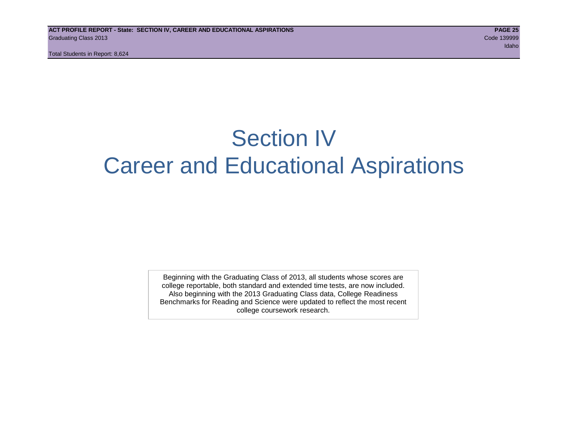# Section IV Career and Educational Aspirations

Beginning with the Graduating Class of 2013, all students whose scores are college reportable, both standard and extended time tests, are now included. Also beginning with the 2013 Graduating Class data, College Readiness Benchmarks for Reading and Science were updated to reflect the most recent college coursework research.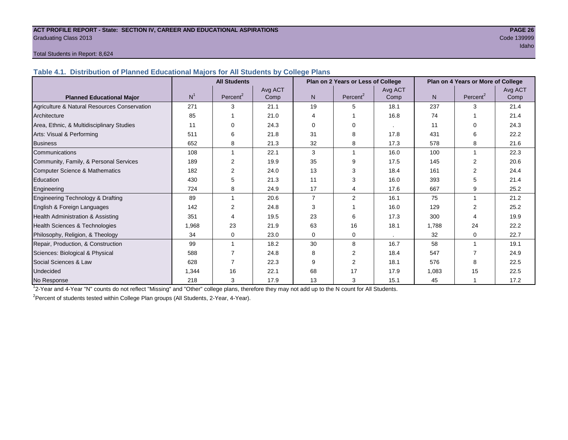#### **ACT PROFILE REPORT - State: SECTION IV, CAREER AND EDUCATIONAL ASPIRATIONS PAGE 26** Graduating Class 2013 Code 139999

# idaho kan kalendar dan mengenai kemudian dan mengenai kemudian pengerangan dan mengenai kemudian dan mengenai

### Total Students in Report: 8,624

**Table 4.1. Distribution of Planned Educational Majors for All Students by College Plans**

|                                              | <b>All Students</b> |                      |         | Plan on 2 Years or Less of College |                      |         | Plan on 4 Years or More of College |                      |         |
|----------------------------------------------|---------------------|----------------------|---------|------------------------------------|----------------------|---------|------------------------------------|----------------------|---------|
|                                              |                     |                      | Avg ACT |                                    |                      | Avg ACT |                                    |                      | Avg ACT |
| <b>Planned Educational Major</b>             | N <sup>1</sup>      | Percent <sup>2</sup> | Comp    | N                                  | Percent <sup>2</sup> | Comp    | N                                  | Percent <sup>2</sup> | Comp    |
| Agriculture & Natural Resources Conservation | 271                 | 3                    | 21.1    | 19                                 | 5                    | 18.1    | 237                                | 3                    | 21.4    |
| Architecture                                 | 85                  |                      | 21.0    | 4                                  |                      | 16.8    | 74                                 |                      | 21.4    |
| Area, Ethnic, & Multidisciplinary Studies    | 11                  | $\Omega$             | 24.3    | $\Omega$                           | $\Omega$             |         | 11                                 | $\Omega$             | 24.3    |
| Arts: Visual & Performing                    | 511                 | 6                    | 21.8    | 31                                 | 8                    | 17.8    | 431                                | 6                    | 22.2    |
| <b>Business</b>                              | 652                 | 8                    | 21.3    | 32                                 | 8                    | 17.3    | 578                                | 8                    | 21.6    |
| Communications                               | 108                 | 1                    | 22.1    | 3                                  |                      | 16.0    | 100                                | 1                    | 22.3    |
| Community, Family, & Personal Services       | 189                 | 2                    | 19.9    | 35                                 | 9                    | 17.5    | 145                                | $\mathfrak{p}$       | 20.6    |
| Computer Science & Mathematics               | 182                 | 2                    | 24.0    | 13                                 | 3                    | 18.4    | 161                                |                      | 24.4    |
| Education                                    | 430                 | 5                    | 21.3    | 11                                 | 3                    | 16.0    | 393                                | 5                    | 21.4    |
| Engineering                                  | 724                 | 8                    | 24.9    | 17                                 |                      | 17.6    | 667                                | 9                    | 25.2    |
| Engineering Technology & Drafting            | 89                  |                      | 20.6    | $\overline{7}$                     | 2                    | 16.1    | 75                                 |                      | 21.2    |
| English & Foreign Languages                  | 142                 | $\overline{2}$       | 24.8    | 3                                  |                      | 16.0    | 129                                | $\mathfrak{p}$       | 25.2    |
| <b>Health Administration &amp; Assisting</b> | 351                 | 4                    | 19.5    | 23                                 | 6                    | 17.3    | 300                                | 4                    | 19.9    |
| Health Sciences & Technologies               | 1,968               | 23                   | 21.9    | 63                                 | 16                   | 18.1    | 1,788                              | 24                   | 22.2    |
| Philosophy, Religion, & Theology             | 34                  | 0                    | 23.0    | $\Omega$                           | $\mathbf 0$          | $\cdot$ | 32                                 | $\Omega$             | 22.7    |
| Repair, Production, & Construction           | 99                  |                      | 18.2    | 30                                 | 8                    | 16.7    | 58                                 |                      | 19.1    |
| Sciences: Biological & Physical              | 588                 |                      | 24.8    | 8                                  | 2                    | 18.4    | 547                                |                      | 24.9    |
| Social Sciences & Law                        | 628                 |                      | 22.3    | 9                                  | 2                    | 18.1    | 576                                | 8                    | 22.5    |
| Undecided                                    | 1,344               | 16                   | 22.1    | 68                                 | 17                   | 17.9    | 1,083                              | 15                   | 22.5    |
| No Response                                  | 218                 | 3                    | 17.9    | 13                                 | 3                    | 15.1    | 45                                 |                      | 17.2    |

1 2-Year and 4-Year "N" counts do not reflect "Missing" and "Other" college plans, therefore they may not add up to the N count for All Students.

<sup>2</sup> Percent of students tested within College Plan groups (All Students, 2-Year, 4-Year).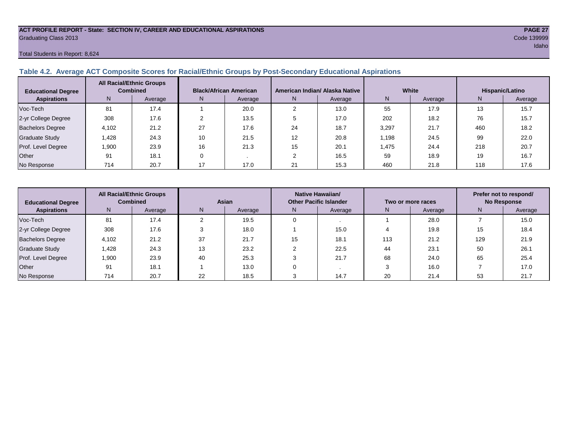#### **ACT PROFILE REPORT - State: SECTION IV, CAREER AND EDUCATIONAL ASPIRATIONS PAGE 27** Graduating Class 2013 Code 139999

# Total Students in Report: 8,624

# **Table 4.2. Average ACT Composite Scores for Racial/Ethnic Groups by Post-Secondary Educational Aspirations**

| <b>Educational Degree</b> | <b>All Racial/Ethnic Groups</b><br><b>Combined</b> |         | <b>Black/African American</b> |         |    | American Indian/ Alaska Native |       | White   | Hispanic/Latino |         |  |
|---------------------------|----------------------------------------------------|---------|-------------------------------|---------|----|--------------------------------|-------|---------|-----------------|---------|--|
| <b>Aspirations</b>        | N                                                  | Average | N.                            | Average | N. | Average                        | Ν     | Average | N               | Average |  |
| Voc-Tech                  | 81                                                 | 17.4    |                               | 20.0    |    | 13.0                           | 55    | 17.9    | 13              | 15.7    |  |
| 2-yr College Degree       | 308                                                | 17.6    |                               | 13.5    |    | 17.0                           | 202   | 18.2    | 76              | 15.7    |  |
| <b>Bachelors Degree</b>   | 4,102                                              | 21.2    | 27                            | 17.6    | 24 | 18.7                           | 3,297 | 21.7    | 460             | 18.2    |  |
| <b>Graduate Study</b>     | .428                                               | 24.3    | 10                            | 21.5    | 12 | 20.8                           | 1.198 | 24.5    | 99              | 22.0    |  |
| Prof. Level Degree        | 1,900                                              | 23.9    | 16                            | 21.3    | 15 | 20.1                           | 1,475 | 24.4    | 218             | 20.7    |  |
| Other                     | 91                                                 | 18.1    |                               |         |    | 16.5                           | 59    | 18.9    | 19              | 16.7    |  |
| No Response               | 714                                                | 20.7    |                               | 17.0    | 21 | 15.3                           | 460   | 21.8    | 118             | 17.6    |  |

| <b>All Racial/Ethnic Groups</b><br><b>Combined</b><br><b>Educational Degree</b> |       | Asian   |    | Native Hawaiian/<br><b>Other Pacific Islander</b> |    | Two or more races |     | Prefer not to respond/<br><b>No Response</b> |     |         |
|---------------------------------------------------------------------------------|-------|---------|----|---------------------------------------------------|----|-------------------|-----|----------------------------------------------|-----|---------|
| <b>Aspirations</b>                                                              | N     | Average | N  | Average                                           | N. | Average           | N.  | Average                                      | N.  | Average |
| Voc-Tech                                                                        | 81    | 17.4    |    | 19.5                                              |    |                   |     | 28.0                                         |     | 15.0    |
| 2-yr College Degree                                                             | 308   | 17.6    |    | 18.0                                              |    | 15.0              |     | 19.8                                         | 15  | 18.4    |
| <b>Bachelors Degree</b>                                                         | 4,102 | 21.2    | 37 | 21.7                                              | 15 | 18.1              | 113 | 21.2                                         | 129 | 21.9    |
| Graduate Study                                                                  | .428  | 24.3    | 13 | 23.2                                              |    | 22.5              | 44  | 23.1                                         | 50  | 26.1    |
| Prof. Level Degree                                                              | 1,900 | 23.9    | 40 | 25.3                                              |    | 21.7              | 68  | 24.0                                         | 65  | 25.4    |
| Other                                                                           | 91    | 18.1    |    | 13.0                                              |    |                   |     | 16.0                                         |     | 17.0    |
| No Response                                                                     | 714   | 20.7    | 22 | 18.5                                              |    | 14.7              | 20  | 21.4                                         | 53  | 21.7    |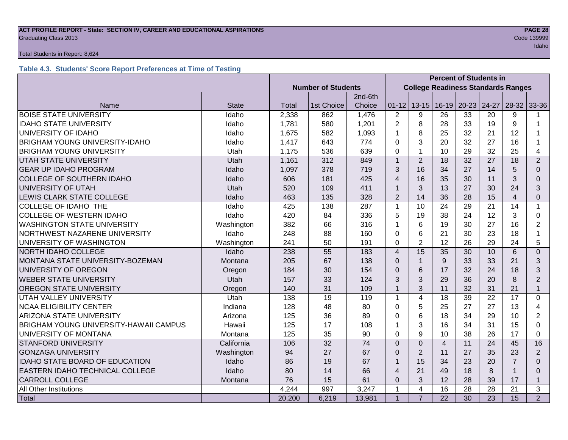# **ACT PROFILE REPORT - State: SECTION IV, CAREER AND EDUCATIONAL ASPIRATIONS PAGE 28 Graduating Class 2013** Code 139999

#### Total Students in Report: 8,624

# **Table 4.3. Students' Score Report Preferences at Time of Testing**

|                                               |              |                           |                                           |        | <b>Percent of Students in</b> |                |                 |           |                 |                |                |
|-----------------------------------------------|--------------|---------------------------|-------------------------------------------|--------|-------------------------------|----------------|-----------------|-----------|-----------------|----------------|----------------|
|                                               |              | <b>Number of Students</b> | <b>College Readiness Standards Ranges</b> |        |                               |                |                 |           |                 |                |                |
|                                               |              | 2nd-6th                   |                                           |        |                               |                |                 |           |                 |                |                |
| Name                                          | <b>State</b> | Total                     | 1st Choice                                | Choice | $01 - 12$                     | $13 - 15$      | $16-19$         | $20 - 23$ | 24-27           | $28-32$ 33-36  |                |
| <b>BOISE STATE UNIVERSITY</b>                 | Idaho        | 2,338                     | 862                                       | 1,476  | $\overline{2}$                | 9              | 26              | 33        | 20              | 9              |                |
| <b>IDAHO STATE UNIVERSITY</b>                 | Idaho        | 1,781                     | 580                                       | 1,201  | $\overline{2}$                | 8              | 28              | 33        | 19              | 9              | 1              |
| UNIVERSITY OF IDAHO                           | Idaho        | 1,675                     | 582                                       | 1,093  | 1                             | 8              | 25              | 32        | 21              | 12             |                |
| <b>BRIGHAM YOUNG UNIVERSITY-IDAHO</b>         | Idaho        | 1,417                     | 643                                       | 774    | 0                             | 3              | 20              | 32        | 27              | 16             | 1              |
| <b>BRIGHAM YOUNG UNIVERSITY</b>               | Utah         | 1,175                     | 536                                       | 639    | $\Omega$                      | $\mathbf{1}$   | 10              | 29        | 32              | 25             | 4              |
| <b>UTAH STATE UNIVERSITY</b>                  | Utah         | 1,161                     | 312                                       | 849    | $\mathbf{1}$                  | $\overline{2}$ | 18              | 32        | 27              | 18             | $\overline{2}$ |
| <b>GEAR UP IDAHO PROGRAM</b>                  | Idaho        | 1,097                     | 378                                       | 719    | 3                             | 16             | 34              | 27        | 14              | 5              | $\Omega$       |
| <b>COLLEGE OF SOUTHERN IDAHO</b>              | Idaho        | 606                       | 181                                       | 425    | 4                             | 16             | 35              | 30        | 11              | 3              | $\Omega$       |
| UNIVERSITY OF UTAH                            | Utah         | 520                       | 109                                       | 411    | 1                             | 3              | 13              | 27        | 30              | 24             | 3              |
| LEWIS CLARK STATE COLLEGE                     | Idaho        | 463                       | 135                                       | 328    | $\overline{2}$                | 14             | 36              | 28        | 15              | $\overline{4}$ | 0              |
| <b>COLLEGE OF IDAHO THE</b>                   | Idaho        | 425                       | 138                                       | 287    | 1                             | 10             | 24              | 29        | 21              | 14             | $\mathbf{1}$   |
| <b>COLLEGE OF WESTERN IDAHO</b>               | Idaho        | 420                       | 84                                        | 336    | 5                             | 19             | 38              | 24        | 12              | 3              | 0              |
| <b>WASHINGTON STATE UNIVERSITY</b>            | Washington   | 382                       | 66                                        | 316    | 1                             | 6              | 19              | 30        | 27              | 16             | $\overline{2}$ |
| NORTHWEST NAZARENE UNIVERSITY                 | Idaho        | 248                       | 88                                        | 160    | $\Omega$                      | 6              | 21              | 30        | 23              | 18             | $\mathbf 1$    |
| UNIVERSITY OF WASHINGTON                      | Washington   | 241                       | 50                                        | 191    | 0                             | $\overline{2}$ | 12              | 26        | 29              | 24             | 5              |
| <b>NORTH IDAHO COLLEGE</b>                    | Idaho        | 238                       | 55                                        | 183    | $\overline{4}$                | 15             | 35              | 30        | 10              | 6              | $\overline{0}$ |
| MONTANA STATE UNIVERSITY-BOZEMAN              | Montana      | 205                       | 67                                        | 138    | $\Omega$                      | $\mathbf{1}$   | 9               | 33        | 33              | 21             | 3              |
| UNIVERSITY OF OREGON                          | Oregon       | 184                       | 30                                        | 154    | $\Omega$                      | 6              | 17              | 32        | 24              | 18             | 3              |
| <b>WEBER STATE UNIVERSITY</b>                 | Utah         | 157                       | 33                                        | 124    | 3                             | 3              | 29              | 36        | 20              | 8              | $\overline{2}$ |
| <b>OREGON STATE UNIVERSITY</b>                | Oregon       | 140                       | 31                                        | 109    | 1                             | 3              | 11              | 32        | 31              | 21             | $\mathbf{1}$   |
| <b>UTAH VALLEY UNIVERSITY</b>                 | Utah         | 138                       | 19                                        | 119    | $\mathbf{1}$                  | $\overline{4}$ | 18              | 39        | 22              | 17             | 0              |
| <b>NCAA ELIGIBILITY CENTER</b>                | Indiana      | 128                       | 48                                        | 80     | 0                             | 5              | 25              | 27        | 27              | 13             | $\overline{4}$ |
| <b>ARIZONA STATE UNIVERSITY</b>               | Arizona      | 125                       | 36                                        | 89     | 0                             | 6              | 18              | 34        | 29              | 10             | $\overline{2}$ |
| <b>BRIGHAM YOUNG UNIVERSITY-HAWAII CAMPUS</b> | Hawaii       | 125                       | 17                                        | 108    | 1                             | 3              | 16              | 34        | 31              | 15             | $\Omega$       |
| UNIVERSITY OF MONTANA                         | Montana      | 125                       | 35                                        | 90     | $\Omega$                      | 9              | 10              | 38        | 26              | 17             | $\Omega$       |
| <b>STANFORD UNIVERSITY</b>                    | California   | 106                       | 32                                        | 74     | $\Omega$                      | $\overline{0}$ | $\overline{4}$  | 11        | 24              | 45             | 16             |
| <b>GONZAGA UNIVERSITY</b>                     | Washington   | 94                        | 27                                        | 67     | $\Omega$                      | $\overline{2}$ | 11              | 27        | 35              | 23             | $\overline{2}$ |
| <b>IDAHO STATE BOARD OF EDUCATION</b>         | Idaho        | 86                        | 19                                        | 67     |                               | 15             | 34              | 23        | 20              | $\overline{7}$ | $\Omega$       |
| <b>EASTERN IDAHO TECHNICAL COLLEGE</b>        | Idaho        | 80                        | 14                                        | 66     | $\overline{\mathcal{A}}$      | 21             | 49              | 18        | 8               |                | $\Omega$       |
| <b>CARROLL COLLEGE</b>                        | Montana      | 76                        | 15                                        | 61     | $\Omega$                      | 3              | 12              | 28        | 39              | 17             | $\mathbf{1}$   |
| All Other Institutions                        |              | 4,244                     | 997                                       | 3,247  | 1                             | 4              | 16              | 28        | 28              | 21             | 3              |
| Total                                         |              | 20,200                    | 6,219                                     | 13,981 | $\overline{1}$                | $\overline{7}$ | $\overline{22}$ | 30        | $\overline{23}$ | 15             | 2              |

idaho kan kalendar yang bermula pada 1999. Bagi bermula pada 1999 dan pertama kepada 1999 dan pembangan dalam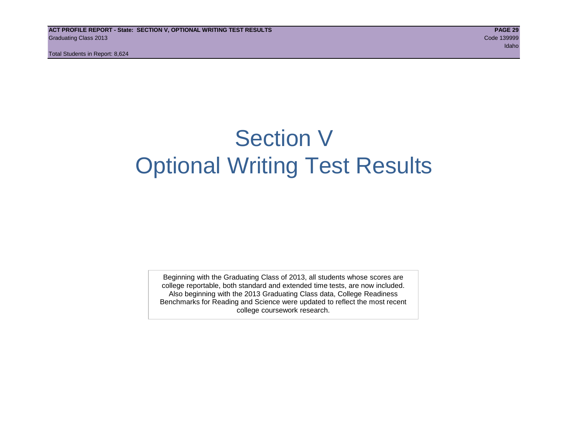Total Students in Report: 8,624

# Section V Optional Writing Test Results

Beginning with the Graduating Class of 2013, all students whose scores are college reportable, both standard and extended time tests, are now included. Also beginning with the 2013 Graduating Class data, College Readiness Benchmarks for Reading and Science were updated to reflect the most recent college coursework research.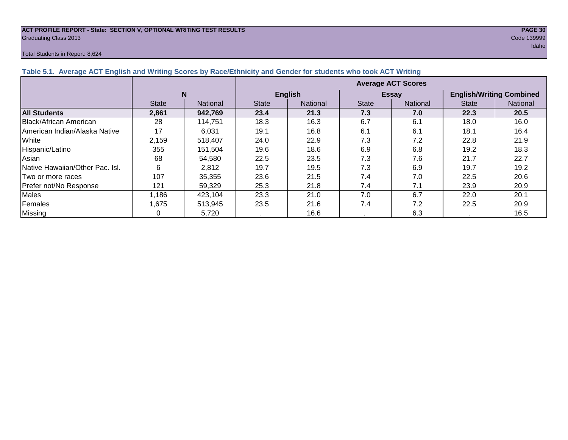#### **ACT PROFILE REPORT - State: SECTION V, OPTIONAL WRITING TEST RESULTS PAGE 30** Graduating Class 2013 Code 139999

#### Total Students in Report: 8,624

|                                      |              |                 | <b>Average ACT Scores</b> |                |              |                 |                                 |                 |  |  |  |
|--------------------------------------|--------------|-----------------|---------------------------|----------------|--------------|-----------------|---------------------------------|-----------------|--|--|--|
|                                      | N            |                 |                           | <b>English</b> |              | <b>Essay</b>    | <b>English/Writing Combined</b> |                 |  |  |  |
|                                      | <b>State</b> | <b>National</b> | <b>State</b>              | National       | <b>State</b> | <b>National</b> | <b>State</b>                    | <b>National</b> |  |  |  |
| <b>All Students</b>                  | 2,861        | 942.769         | 23.4                      | 21.3           | 7.3          | 7.0             | 22.3                            | 20.5            |  |  |  |
| Black/African American               | 28           | 114.751         | 18.3                      | 16.3           | 6.7          | 6.1             | 18.0                            | 16.0            |  |  |  |
| <b>American Indian/Alaska Native</b> | 17           | 6.031           | 19.1                      | 16.8           | 6.1          | 6.1             | 18.1                            | 16.4            |  |  |  |
| White                                | 2,159        | 518,407         | 24.0                      | 22.9           | 7.3          | 7.2             | 22.8                            | 21.9            |  |  |  |
| Hispanic/Latino                      | 355          | 151,504         | 19.6                      | 18.6           | 6.9          | 6.8             | 19.2                            | 18.3            |  |  |  |
| Asian                                | 68           | 54,580          | 22.5                      | 23.5           | 7.3          | 7.6             | 21.7                            | 22.7            |  |  |  |
| Native Hawaiian/Other Pac. Isl.      | 6            | 2,812           | 19.7                      | 19.5           | 7.3          | 6.9             | 19.7                            | 19.2            |  |  |  |
| Two or more races                    | 107          | 35,355          | 23.6                      | 21.5           | 7.4          | 7.0             | 22.5                            | 20.6            |  |  |  |
| Prefer not/No Response               | 121          | 59,329          | 25.3                      | 21.8           | 7.4          | 7.1             | 23.9                            | 20.9            |  |  |  |
| <b>Males</b>                         | 1,186        | 423,104         | 23.3                      | 21.0           | 7.0          | 6.7             | 22.0                            | 20.1            |  |  |  |
| Females                              | 1,675        | 513,945         | 23.5                      | 21.6           | 7.4          | 7.2             | 22.5                            | 20.9            |  |  |  |
| Missing                              |              | 5,720           |                           | 16.6           |              | 6.3             |                                 | 16.5            |  |  |  |

# **Table 5.1. Average ACT English and Writing Scores by Race/Ethnicity and Gender for students who took ACT Writing**